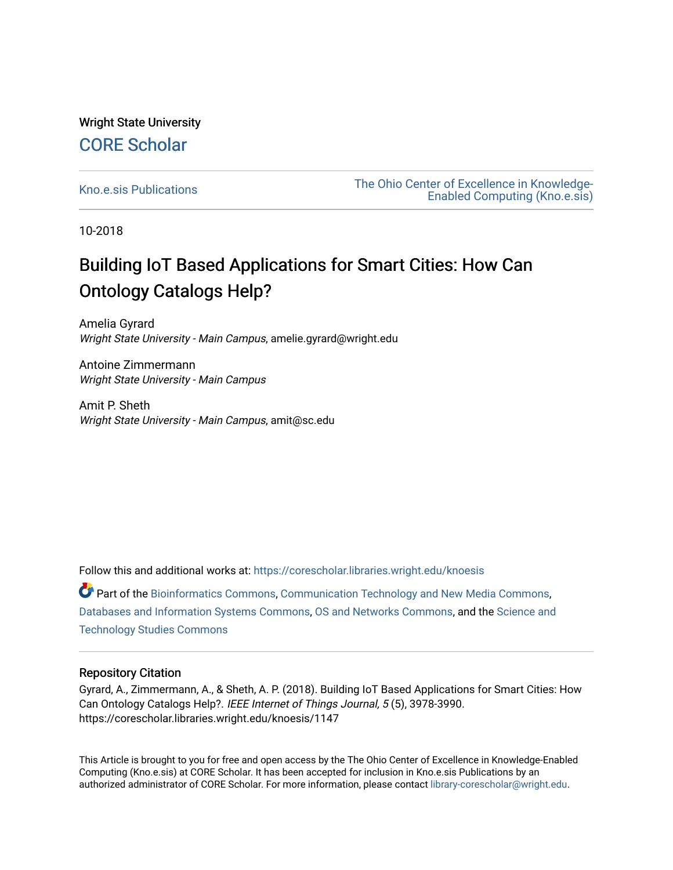Wright State University [CORE Scholar](https://corescholar.libraries.wright.edu/)

[Kno.e.sis Publications](https://corescholar.libraries.wright.edu/knoesis) [The Ohio Center of Excellence in Knowledge-](https://corescholar.libraries.wright.edu/knoesis_comm)[Enabled Computing \(Kno.e.sis\)](https://corescholar.libraries.wright.edu/knoesis_comm) 

10-2018

## Building IoT Based Applications for Smart Cities: How Can Ontology Catalogs Help?

Amelia Gyrard Wright State University - Main Campus, amelie.gyrard@wright.edu

Antoine Zimmermann Wright State University - Main Campus

Amit P. Sheth Wright State University - Main Campus, amit@sc.edu

Follow this and additional works at: [https://corescholar.libraries.wright.edu/knoesis](https://corescholar.libraries.wright.edu/knoesis?utm_source=corescholar.libraries.wright.edu%2Fknoesis%2F1147&utm_medium=PDF&utm_campaign=PDFCoverPages) 

Part of the [Bioinformatics Commons,](http://network.bepress.com/hgg/discipline/110?utm_source=corescholar.libraries.wright.edu%2Fknoesis%2F1147&utm_medium=PDF&utm_campaign=PDFCoverPages) [Communication Technology and New Media Commons,](http://network.bepress.com/hgg/discipline/327?utm_source=corescholar.libraries.wright.edu%2Fknoesis%2F1147&utm_medium=PDF&utm_campaign=PDFCoverPages) [Databases and Information Systems Commons](http://network.bepress.com/hgg/discipline/145?utm_source=corescholar.libraries.wright.edu%2Fknoesis%2F1147&utm_medium=PDF&utm_campaign=PDFCoverPages), [OS and Networks Commons](http://network.bepress.com/hgg/discipline/149?utm_source=corescholar.libraries.wright.edu%2Fknoesis%2F1147&utm_medium=PDF&utm_campaign=PDFCoverPages), and the [Science and](http://network.bepress.com/hgg/discipline/435?utm_source=corescholar.libraries.wright.edu%2Fknoesis%2F1147&utm_medium=PDF&utm_campaign=PDFCoverPages) [Technology Studies Commons](http://network.bepress.com/hgg/discipline/435?utm_source=corescholar.libraries.wright.edu%2Fknoesis%2F1147&utm_medium=PDF&utm_campaign=PDFCoverPages) 

### Repository Citation

Gyrard, A., Zimmermann, A., & Sheth, A. P. (2018). Building IoT Based Applications for Smart Cities: How Can Ontology Catalogs Help?. IEEE Internet of Things Journal, 5 (5), 3978-3990. https://corescholar.libraries.wright.edu/knoesis/1147

This Article is brought to you for free and open access by the The Ohio Center of Excellence in Knowledge-Enabled Computing (Kno.e.sis) at CORE Scholar. It has been accepted for inclusion in Kno.e.sis Publications by an authorized administrator of CORE Scholar. For more information, please contact [library-corescholar@wright.edu](mailto:library-corescholar@wright.edu).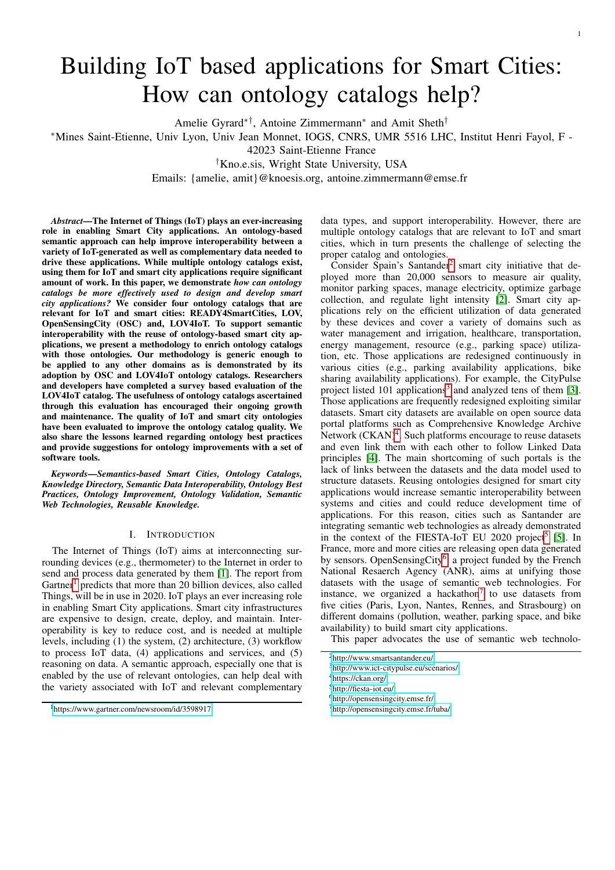# <span id="page-1-7"></span>Building IoT based applications for Smart Cities: How can ontology catalogs help?

Amelie Gyrard∗†, Antoine Zimmermann<sup>∗</sup> and Amit Sheth†

<sup>∗</sup>Mines Saint-Etienne, Univ Lyon, Univ Jean Monnet, IOGS, CNRS, UMR 5516 LHC, Institut Henri Fayol, F -

42023 Saint-Etienne France

†Kno.e.sis, Wright State University, USA

Emails: {amelie, amit}@knoesis.org, antoine.zimmermann@emse.fr

*Abstract*—The Internet of Things (IoT) plays an ever-increasing role in enabling Smart City applications. An ontology-based semantic approach can help improve interoperability between a variety of IoT-generated as well as complementary data needed to drive these applications. While multiple ontology catalogs exist, using them for IoT and smart city applications require significant amount of work. In this paper, we demonstrate *how can ontology catalogs be more effectively used to design and develop smart city applications?* We consider four ontology catalogs that are relevant for IoT and smart cities: READY4SmartCities, LOV, OpenSensingCity (OSC) and, LOV4IoT. To support semantic interoperability with the reuse of ontology-based smart city applications, we present a methodology to enrich ontology catalogs with those ontologies. Our methodology is generic enough to be applied to any other domains as is demonstrated by its adoption by OSC and LOV4IoT ontology catalogs. Researchers and developers have completed a survey based evaluation of the LOV4IoT catalog. The usefulness of ontology catalogs ascertained through this evaluation has encouraged their ongoing growth and maintenance. The quality of IoT and smart city ontologies have been evaluated to improve the ontology catalog quality. We also share the lessons learned regarding ontology best practices and provide suggestions for ontology improvements with a set of software tools.

*Keywords*—*Semantics-based Smart Cities, Ontology Catalogs, Knowledge Directory, Semantic Data Interoperability, Ontology Best Practices, Ontology Improvement, Ontology Validation, Semantic Web Technologies, Reusable Knowledge.*

### I. INTRODUCTION

The Internet of Things (IoT) aims at interconnecting surrounding devices (e.g., thermometer) to the Internet in order to send and process data generated by them [\[1\]](#page-12-0). The report from  $Gartner<sup>1</sup>$  $Gartner<sup>1</sup>$  $Gartner<sup>1</sup>$  predicts that more than 20 billion devices, also called Things, will be in use in 2020. IoT plays an ever increasing role in enabling Smart City applications. Smart city infrastructures are expensive to design, create, deploy, and maintain. Interoperability is key to reduce cost, and is needed at multiple levels, including (1) the system, (2) architecture, (3) workflow to process IoT data, (4) applications and services, and (5) reasoning on data. A semantic approach, especially one that is enabled by the use of relevant ontologies, can help deal with the variety associated with IoT and relevant complementary

data types, and support interoperability. However, there are multiple ontology catalogs that are relevant to IoT and smart cities, which in turn presents the challenge of selecting the proper catalog and ontologies.

 $\tilde{C}$ onsider Spain's Santander<sup>[2](#page-1-1)</sup> smart city initiative that deployed more than 20,000 sensors to measure air quality, monitor parking spaces, manage electricity, optimize garbage collection, and regulate light intensity [\[2\]](#page-12-1). Smart city applications rely on the efficient utilization of data generated by these devices and cover a variety of domains such as water management and irrigation, healthcare, transportation, energy management, resource (e.g., parking space) utilization, etc. Those applications are redesigned continuously in various cities (e.g., parking availability applications, bike sharing availability applications). For example, the CityPulse project listed 101 applications<sup>[3](#page-1-2)</sup> and analyzed tens of them [\[3\]](#page-12-2). Those applications are frequently redesigned exploiting similar datasets. Smart city datasets are available on open source data portal platforms such as Comprehensive Knowledge Archive Network (CKAN)<sup>[4](#page-1-3)</sup>. Such platforms encourage to reuse datasets and even link them with each other to follow Linked Data principles [\[4\]](#page-12-3). The main shortcoming of such portals is the lack of links between the datasets and the data model used to structure datasets. Reusing ontologies designed for smart city applications would increase semantic interoperability between systems and cities and could reduce development time of applications. For this reason, cities such as Santander are integrating semantic web technologies as already demonstrated in the context of the FIESTA-IoT EU 2020 project<sup>[5](#page-1-4)</sup> [\[5\]](#page-12-4). In France, more and more cities are releasing open data generated by sensors. OpenSensingCity<sup>[6](#page-1-5)</sup>, a project funded by the French National Resaerch Agency (ANR), aims at unifying those datasets with the usage of semantic web technologies. For instance, we organized a hackathon<sup>[7](#page-1-6)</sup> to use datasets from five cities (Paris, Lyon, Nantes, Rennes, and Strasbourg) on different domains (pollution, weather, parking space, and bike availability) to build smart city applications.

This paper advocates the use of semantic web technolo-

<span id="page-1-0"></span><sup>1</sup><https://www.gartner.com/newsroom/id/3598917>

<span id="page-1-1"></span><sup>2</sup><http://www.smartsantander.eu/>

<span id="page-1-2"></span><sup>3</sup><http://www.ict-citypulse.eu/scenarios/>

<span id="page-1-3"></span><sup>4</sup><https://ckan.org/>

<span id="page-1-4"></span><sup>5</sup><http://fiesta-iot.eu/>

<span id="page-1-5"></span><sup>6</sup><http://opensensingcity.emse.fr/>

<span id="page-1-6"></span><sup>7</sup><http://opensensingcity.emse.fr/tuba/>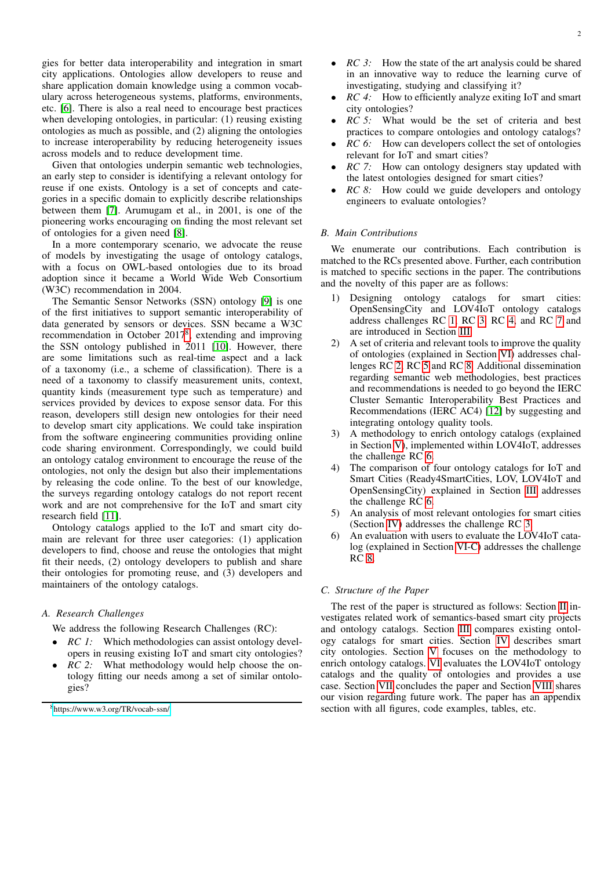gies for better data interoperability and integration in smart city applications. Ontologies allow developers to reuse and share application domain knowledge using a common vocabulary across heterogeneous systems, platforms, environments, etc. [\[6\]](#page-12-5). There is also a real need to encourage best practices when developing ontologies, in particular: (1) reusing existing ontologies as much as possible, and (2) aligning the ontologies to increase interoperability by reducing heterogeneity issues across models and to reduce development time.

Given that ontologies underpin semantic web technologies, an early step to consider is identifying a relevant ontology for reuse if one exists. Ontology is a set of concepts and categories in a specific domain to explicitly describe relationships between them [\[7\]](#page-12-6). Arumugam et al., in 2001, is one of the pioneering works encouraging on finding the most relevant set of ontologies for a given need [\[8\]](#page-12-7).

In a more contemporary scenario, we advocate the reuse of models by investigating the usage of ontology catalogs, with a focus on OWL-based ontologies due to its broad adoption since it became a World Wide Web Consortium (W3C) recommendation in 2004.

The Semantic Sensor Networks (SSN) ontology [\[9\]](#page-12-8) is one of the first initiatives to support semantic interoperability of data generated by sensors or devices. SSN became a W3C recommendation in October 2017<sup>[8](#page-2-0)</sup>, extending and improving the SSN ontology published in 2011 [\[10\]](#page-12-9). However, there are some limitations such as real-time aspect and a lack of a taxonomy (i.e., a scheme of classification). There is a need of a taxonomy to classify measurement units, context, quantity kinds (measurement type such as temperature) and services provided by devices to expose sensor data. For this reason, developers still design new ontologies for their need to develop smart city applications. We could take inspiration from the software engineering communities providing online code sharing environment. Correspondingly, we could build an ontology catalog environment to encourage the reuse of the ontologies, not only the design but also their implementations by releasing the code online. To the best of our knowledge, the surveys regarding ontology catalogs do not report recent work and are not comprehensive for the IoT and smart city research field [\[11\]](#page-12-10).

Ontology catalogs applied to the IoT and smart city domain are relevant for three user categories: (1) application developers to find, choose and reuse the ontologies that might fit their needs, (2) ontology developers to publish and share their ontologies for promoting reuse, and (3) developers and maintainers of the ontology catalogs.

### *A. Research Challenges*

We address the following Research Challenges (RC):

- <span id="page-2-1"></span>*RC 1:* Which methodologies can assist ontology developers in reusing existing IoT and smart city ontologies?
- <span id="page-2-5"></span>*RC 2:* What methodology would help choose the ontology fitting our needs among a set of similar ontologies?
- *RC 3:* How the state of the art analysis could be shared in an innovative way to reduce the learning curve of investigating, studying and classifying it?
- <span id="page-2-3"></span>*RC 4:* How to efficiently analyze exiting IoT and smart city ontologies?
- <span id="page-2-6"></span>*RC* 5: What would be the set of criteria and best practices to compare ontologies and ontology catalogs?
- <span id="page-2-8"></span>*RC 6:* How can developers collect the set of ontologies relevant for IoT and smart cities?
- <span id="page-2-4"></span>*RC* 7: How can ontology designers stay updated with the latest ontologies designed for smart cities?
- <span id="page-2-7"></span>*RC 8:* How could we guide developers and ontology engineers to evaluate ontologies?

### *B. Main Contributions*

We enumerate our contributions. Each contribution is matched to the RCs presented above. Further, each contribution is matched to specific sections in the paper. The contributions and the novelty of this paper are as follows:

- 1) Designing ontology catalogs for smart cities: OpenSensingCity and LOV4IoT ontology catalogs address challenges RC [1,](#page-2-1) RC [3,](#page-2-2) RC [4,](#page-2-3) and RC [7](#page-2-4) and are introduced in Section [III.](#page-5-0)
- 2) A set of criteria and relevant tools to improve the quality of ontologies (explained in Section [VI\)](#page-10-0) addresses challenges RC [2,](#page-2-5) RC [5](#page-2-6) and RC [8.](#page-2-7) Additional dissemination regarding semantic web methodologies, best practices and recommendations is needed to go beyond the IERC Cluster Semantic Interoperability Best Practices and Recommendations (IERC AC4) [\[12\]](#page-12-11) by suggesting and integrating ontology quality tools.
- 3) A methodology to enrich ontology catalogs (explained in Section [V\)](#page-8-0), implemented within LOV4IoT, addresses the challenge RC [6.](#page-2-8)
- 4) The comparison of four ontology catalogs for IoT and Smart Cities (Ready4SmartCities, LOV, LOV4IoT and OpenSensingCity) explained in Section [III](#page-5-0) addresses the challenge RC [6.](#page-2-8)
- 5) An analysis of most relevant ontologies for smart cities (Section [IV\)](#page-6-0) addresses the challenge RC [3.](#page-2-2)
- An evaluation with users to evaluate the LOV4IoT catalog (explained in Section [VI-C\)](#page-11-0) addresses the challenge RC [8.](#page-2-7)

### *C. Structure of the Paper*

The rest of the paper is structured as follows: Section [II](#page-3-0) investigates related work of semantics-based smart city projects and ontology catalogs. Section [III](#page-5-0) compares existing ontology catalogs for smart cities. Section [IV](#page-6-0) describes smart city ontologies. Section [V](#page-8-0) focuses on the methodology to enrich ontology catalogs. [VI](#page-10-0) evaluates the LOV4IoT ontology catalogs and the quality of ontologies and provides a use case. Section [VII](#page-11-1) concludes the paper and Section [VIII](#page-12-12) shares our vision regarding future work. The paper has an appendix section with all figures, code examples, tables, etc.

<span id="page-2-2"></span><span id="page-2-0"></span><sup>8</sup><https://www.w3.org/TR/vocab-ssn/>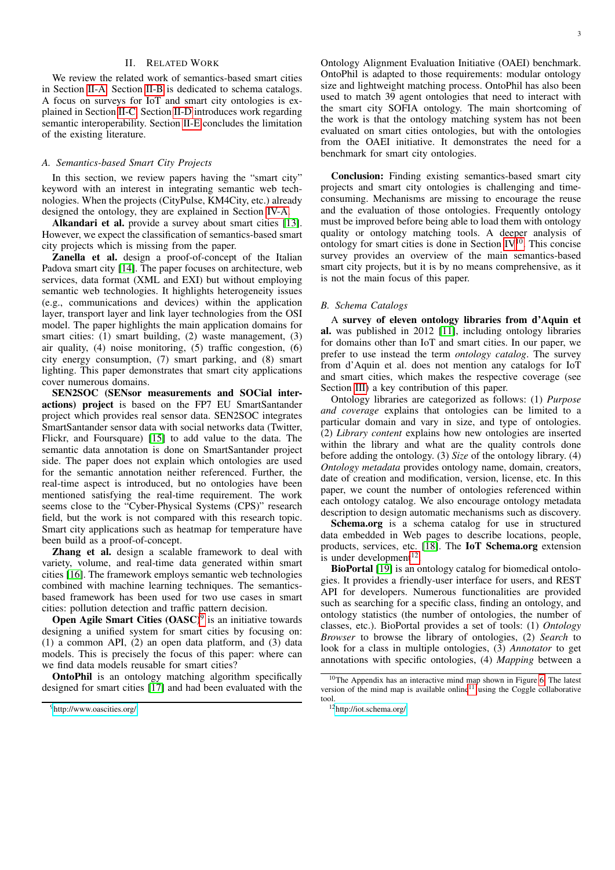### II. RELATED WORK

<span id="page-3-0"></span>We review the related work of semantics-based smart cities in Section [II-A.](#page-3-1) Section [II-B](#page-3-2) is dedicated to schema catalogs. A focus on surveys for IoT and smart city ontologies is explained in Section [II-C.](#page-4-0) Section [II-D](#page-4-1) introduces work regarding semantic interoperability. Section [II-E](#page-5-1) concludes the limitation of the existing literature.

### <span id="page-3-1"></span>*A. Semantics-based Smart City Projects*

In this section, we review papers having the "smart city" keyword with an interest in integrating semantic web technologies. When the projects (CityPulse, KM4City, etc.) already designed the ontology, they are explained in Section [IV-A.](#page-7-0)

Alkandari et al. provide a survey about smart cities [\[13\]](#page-12-13). However, we expect the classification of semantics-based smart city projects which is missing from the paper.

Zanella et al. design a proof-of-concept of the Italian Padova smart city [\[14\]](#page-12-14). The paper focuses on architecture, web services, data format (XML and EXI) but without employing semantic web technologies. It highlights heterogeneity issues (e.g., communications and devices) within the application layer, transport layer and link layer technologies from the OSI model. The paper highlights the main application domains for smart cities:  $(1)$  smart building,  $(2)$  waste management,  $(3)$ air quality, (4) noise monitoring, (5) traffic congestion, (6) city energy consumption, (7) smart parking, and (8) smart lighting. This paper demonstrates that smart city applications cover numerous domains.

SEN2SOC (SENsor measurements and SOCial interactions) project is based on the FP7 EU SmartSantander project which provides real sensor data. SEN2SOC integrates SmartSantander sensor data with social networks data (Twitter, Flickr, and Foursquare) [\[15\]](#page-12-15) to add value to the data. The semantic data annotation is done on SmartSantander project side. The paper does not explain which ontologies are used for the semantic annotation neither referenced. Further, the real-time aspect is introduced, but no ontologies have been mentioned satisfying the real-time requirement. The work seems close to the "Cyber-Physical Systems (CPS)" research field, but the work is not compared with this research topic. Smart city applications such as heatmap for temperature have been build as a proof-of-concept.

Zhang et al. design a scalable framework to deal with variety, volume, and real-time data generated within smart cities [\[16\]](#page-12-16). The framework employs semantic web technologies combined with machine learning techniques. The semanticsbased framework has been used for two use cases in smart cities: pollution detection and traffic pattern decision.

**Open Agile Smart Cities**  $(OASC)^9$  $(OASC)^9$  **is an initiative towards** designing a unified system for smart cities by focusing on: (1) a common API, (2) an open data platform, and (3) data models. This is precisely the focus of this paper: where can we find data models reusable for smart cities?

OntoPhil is an ontology matching algorithm specifically designed for smart cities [\[17\]](#page-12-17) and had been evaluated with the Ontology Alignment Evaluation Initiative (OAEI) benchmark. OntoPhil is adapted to those requirements: modular ontology size and lightweight matching process. OntoPhil has also been used to match 39 agent ontologies that need to interact with the smart city SOFIA ontology. The main shortcoming of the work is that the ontology matching system has not been evaluated on smart cities ontologies, but with the ontologies from the OAEI initiative. It demonstrates the need for a benchmark for smart city ontologies.

Conclusion: Finding existing semantics-based smart city projects and smart city ontologies is challenging and timeconsuming. Mechanisms are missing to encourage the reuse and the evaluation of those ontologies. Frequently ontology must be improved before being able to load them with ontology quality or ontology matching tools. A deeper analysis of ontology for smart cities is done in Section  $IV<sup>10</sup>$  $IV<sup>10</sup>$  $IV<sup>10</sup>$ . This concise survey provides an overview of the main semantics-based smart city projects, but it is by no means comprehensive, as it is not the main focus of this paper.

### <span id="page-3-2"></span>*B. Schema Catalogs*

A survey of eleven ontology libraries from d'Aquin et al. was published in 2012 [\[11\]](#page-12-10), including ontology libraries for domains other than IoT and smart cities. In our paper, we prefer to use instead the term *ontology catalog*. The survey from d'Aquin et al. does not mention any catalogs for IoT and smart cities, which makes the respective coverage (see Section [III\)](#page-5-0) a key contribution of this paper.

Ontology libraries are categorized as follows: (1) *Purpose and coverage* explains that ontologies can be limited to a particular domain and vary in size, and type of ontologies. (2) *Library content* explains how new ontologies are inserted within the library and what are the quality controls done before adding the ontology. (3) *Size* of the ontology library. (4) *Ontology metadata* provides ontology name, domain, creators, date of creation and modification, version, license, etc. In this paper, we count the number of ontologies referenced within each ontology catalog. We also encourage ontology metadata description to design automatic mechanisms such as discovery.

Schema.org is a schema catalog for use in structured data embedded in Web pages to describe locations, people, products, services, etc. [\[18\]](#page-12-18). The IoT Schema.org extension is under development $12$ .

BioPortal [\[19\]](#page-12-19) is an ontology catalog for biomedical ontologies. It provides a friendly-user interface for users, and REST API for developers. Numerous functionalities are provided such as searching for a specific class, finding an ontology, and ontology statistics (the number of ontologies, the number of classes, etc.). BioPortal provides a set of tools: (1) *Ontology Browser* to browse the library of ontologies, (2) *Search* to look for a class in multiple ontologies, (3) *Annotator* to get annotations with specific ontologies, (4) *Mapping* between a

<span id="page-3-3"></span><sup>9</sup><http://www.oascities.org/>

<span id="page-3-4"></span><sup>10</sup>The Appendix has an interactive mind map shown in Figure [6.](#page-21-0) The latest version of the mind map is available online<sup>[11](#page-1-7)</sup> using the Coggle collaborative tool.

<span id="page-3-5"></span><sup>12</sup><http://iot.schema.org/>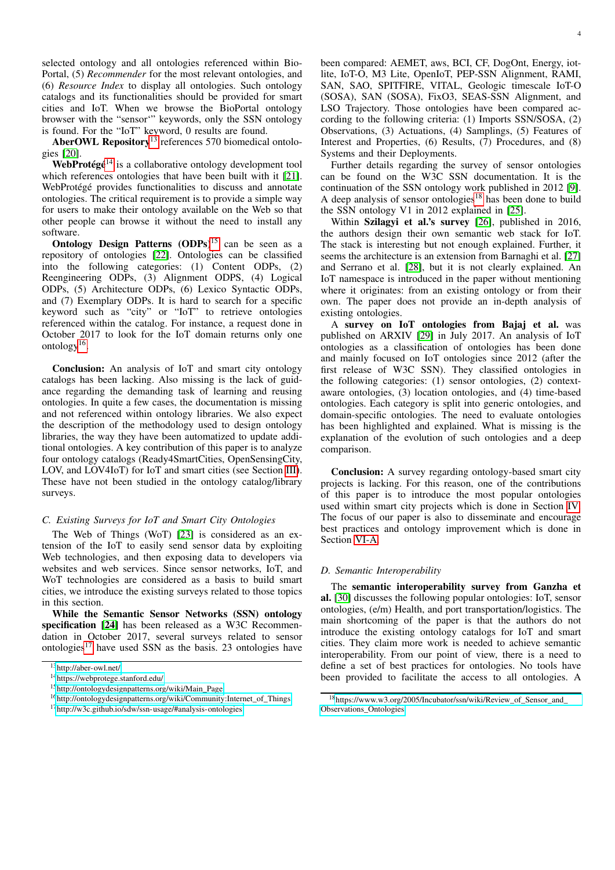selected ontology and all ontologies referenced within Bio-Portal, (5) *Recommender* for the most relevant ontologies, and (6) *Resource Index* to display all ontologies. Such ontology catalogs and its functionalities should be provided for smart cities and IoT. When we browse the BioPortal ontology browser with the "sensor'" keywords, only the SSN ontology is found. For the "IoT" keyword, 0 results are found.

AberOWL Repository<sup>[13](#page-4-2)</sup> references 570 biomedical ontologies [\[20\]](#page-12-20).

WebProtégé<sup>[14](#page-4-3)</sup> is a collaborative ontology development tool which references ontologies that have been built with it [\[21\]](#page-12-21). WebProtégé provides functionalities to discuss and annotate ontologies. The critical requirement is to provide a simple way for users to make their ontology available on the Web so that other people can browse it without the need to install any software.

**Ontology Design Patterns**  $(ODPs)^{15}$  $(ODPs)^{15}$  $(ODPs)^{15}$  **can be seen as a** repository of ontologies [\[22\]](#page-12-22). Ontologies can be classified into the following categories: (1) Content ODPs, (2) Reengineering ODPs, (3) Alignment ODPS, (4) Logical ODPs, (5) Architecture ODPs, (6) Lexico Syntactic ODPs, and (7) Exemplary ODPs. It is hard to search for a specific keyword such as "city" or "IoT" to retrieve ontologies referenced within the catalog. For instance, a request done in October 2017 to look for the IoT domain returns only one ontology<sup>[16](#page-4-5)</sup>.

Conclusion: An analysis of IoT and smart city ontology catalogs has been lacking. Also missing is the lack of guidance regarding the demanding task of learning and reusing ontologies. In quite a few cases, the documentation is missing and not referenced within ontology libraries. We also expect the description of the methodology used to design ontology libraries, the way they have been automatized to update additional ontologies. A key contribution of this paper is to analyze four ontology catalogs (Ready4SmartCities, OpenSensingCity, LOV, and LOV4IoT) for IoT and smart cities (see Section [III\)](#page-5-0). These have not been studied in the ontology catalog/library surveys.

### <span id="page-4-0"></span>*C. Existing Surveys for IoT and Smart City Ontologies*

The Web of Things (WoT) [\[23\]](#page-12-23) is considered as an extension of the IoT to easily send sensor data by exploiting Web technologies, and then exposing data to developers via websites and web services. Since sensor networks, IoT, and WoT technologies are considered as a basis to build smart cities, we introduce the existing surveys related to those topics in this section.

While the Semantic Sensor Networks (SSN) ontology specification [\[24\]](#page-12-24) has been released as a W3C Recommendation in October 2017, several surveys related to sensor ontologies<sup>[17](#page-4-6)</sup> have used SSN as the basis. 23 ontologies have been compared: AEMET, aws, BCI, CF, DogOnt, Energy, iotlite, IoT-O, M3 Lite, OpenIoT, PEP-SSN Alignment, RAMI, SAN, SAO, SPITFIRE, VITAL, Geologic timescale IoT-O (SOSA), SAN (SOSA), FixO3, SEAS-SSN Alignment, and LSO Trajectory. Those ontologies have been compared according to the following criteria: (1) Imports SSN/SOSA, (2) Observations, (3) Actuations, (4) Samplings, (5) Features of Interest and Properties, (6) Results, (7) Procedures, and (8) Systems and their Deployments.

Further details regarding the survey of sensor ontologies can be found on the W3C SSN documentation. It is the continuation of the SSN ontology work published in 2012 [\[9\]](#page-12-8). A deep analysis of sensor ontologies<sup>[18](#page-4-7)</sup> has been done to build the SSN ontology V1 in 2012 explained in [\[25\]](#page-12-25).

Within Szilagyi et al.'s survey [\[26\]](#page-12-26), published in 2016, the authors design their own semantic web stack for IoT. The stack is interesting but not enough explained. Further, it seems the architecture is an extension from Barnaghi et al. [\[27\]](#page-12-27) and Serrano et al. [\[28\]](#page-13-0), but it is not clearly explained. An IoT namespace is introduced in the paper without mentioning where it originates: from an existing ontology or from their own. The paper does not provide an in-depth analysis of existing ontologies.

A survey on IoT ontologies from Bajaj et al. was published on ARXIV [\[29\]](#page-13-1) in July 2017. An analysis of IoT ontologies as a classification of ontologies has been done and mainly focused on IoT ontologies since 2012 (after the first release of W3C SSN). They classified ontologies in the following categories: (1) sensor ontologies, (2) contextaware ontologies, (3) location ontologies, and (4) time-based ontologies. Each category is split into generic ontologies, and domain-specific ontologies. The need to evaluate ontologies has been highlighted and explained. What is missing is the explanation of the evolution of such ontologies and a deep comparison.

Conclusion: A survey regarding ontology-based smart city projects is lacking. For this reason, one of the contributions of this paper is to introduce the most popular ontologies used within smart city projects which is done in Section [IV.](#page-6-0) The focus of our paper is also to disseminate and encourage best practices and ontology improvement which is done in Section [VI-A.](#page-10-1)

### <span id="page-4-1"></span>*D. Semantic Interoperability*

The semantic interoperability survey from Ganzha et al. [\[30\]](#page-13-2) discusses the following popular ontologies: IoT, sensor ontologies, (e/m) Health, and port transportation/logistics. The main shortcoming of the paper is that the authors do not introduce the existing ontology catalogs for IoT and smart cities. They claim more work is needed to achieve semantic interoperability. From our point of view, there is a need to define a set of best practices for ontologies. No tools have been provided to facilitate the access to all ontologies. A

<span id="page-4-2"></span><sup>13</sup><http://aber-owl.net/>

<span id="page-4-3"></span><sup>14</sup><https://webprotege.stanford.edu/>

<span id="page-4-4"></span><sup>15</sup>[http://ontologydesignpatterns.org/wiki/Main\\_Page](http://ontologydesignpatterns.org/wiki/Main_Page)

<span id="page-4-5"></span><sup>16</sup>[http://ontologydesignpatterns.org/wiki/Community:Internet\\_of\\_Things](http://ontologydesignpatterns.org/wiki/Community:Internet_of_Things)

<span id="page-4-6"></span><sup>17</sup><http://w3c.github.io/sdw/ssn-usage/#analysis-ontologies>

<span id="page-4-7"></span><sup>18</sup>[https://www.w3.org/2005/Incubator/ssn/wiki/Review\\_of\\_Sensor\\_and\\_](https://www.w3.org/2005/Incubator/ssn/wiki/Review_of_Sensor_and_Observations_Ontologies) [Observations\\_Ontologies](https://www.w3.org/2005/Incubator/ssn/wiki/Review_of_Sensor_and_Observations_Ontologies)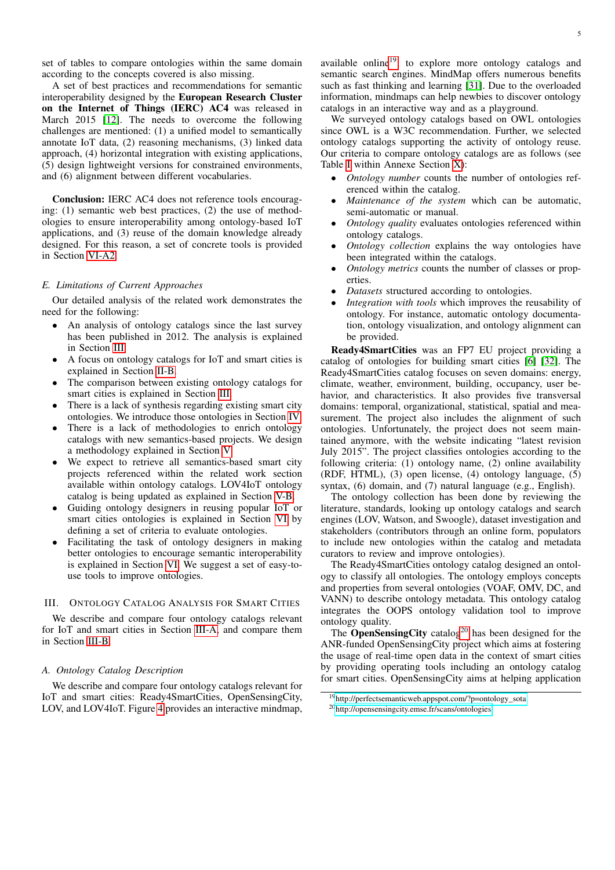set of tables to compare ontologies within the same domain according to the concepts covered is also missing.

A set of best practices and recommendations for semantic interoperability designed by the European Research Cluster on the Internet of Things (IERC) AC4 was released in March 2015 [\[12\]](#page-12-11). The needs to overcome the following challenges are mentioned: (1) a unified model to semantically annotate IoT data, (2) reasoning mechanisms, (3) linked data approach, (4) horizontal integration with existing applications, (5) design lightweight versions for constrained environments, and (6) alignment between different vocabularies.

Conclusion: IERC AC4 does not reference tools encouraging: (1) semantic web best practices, (2) the use of methodologies to ensure interoperability among ontology-based IoT applications, and (3) reuse of the domain knowledge already designed. For this reason, a set of concrete tools is provided in Section [VI-A2.](#page-10-2)

### <span id="page-5-1"></span>*E. Limitations of Current Approaches*

Our detailed analysis of the related work demonstrates the need for the following:

- An analysis of ontology catalogs since the last survey has been published in 2012. The analysis is explained in Section [III.](#page-5-0)
- A focus on ontology catalogs for IoT and smart cities is explained in Section [II-B.](#page-3-2)
- The comparison between existing ontology catalogs for smart cities is explained in Section [III.](#page-5-0)
- There is a lack of synthesis regarding existing smart city ontologies. We introduce those ontologies in Section [IV.](#page-6-0)
- There is a lack of methodologies to enrich ontology catalogs with new semantics-based projects. We design a methodology explained in Section [V.](#page-8-0)
- We expect to retrieve all semantics-based smart city projects referenced within the related work section available within ontology catalogs. LOV4IoT ontology catalog is being updated as explained in Section [V-B.](#page-8-1)
- Guiding ontology designers in reusing popular IoT or smart cities ontologies is explained in Section [VI](#page-10-0) by defining a set of criteria to evaluate ontologies.
- Facilitating the task of ontology designers in making better ontologies to encourage semantic interoperability is explained in Section [VI.](#page-10-0) We suggest a set of easy-touse tools to improve ontologies.

### <span id="page-5-0"></span>III. ONTOLOGY CATALOG ANALYSIS FOR SMART CITIES

We describe and compare four ontology catalogs relevant for IoT and smart cities in Section [III-A,](#page-5-2) and compare them in Section [III-B.](#page-6-1)

### <span id="page-5-2"></span>*A. Ontology Catalog Description*

We describe and compare four ontology catalogs relevant for IoT and smart cities: Ready4SmartCities, OpenSensingCity, LOV, and LOV4IoT. Figure [4](#page-19-0) provides an interactive mindmap, available online<sup>[19](#page-5-3)</sup>, to explore more ontology catalogs and semantic search engines. MindMap offers numerous benefits such as fast thinking and learning [\[31\]](#page-13-3). Due to the overloaded information, mindmaps can help newbies to discover ontology catalogs in an interactive way and as a playground.

We surveyed ontology catalogs based on OWL ontologies since OWL is a W3C recommendation. Further, we selected ontology catalogs supporting the activity of ontology reuse. Our criteria to compare ontology catalogs are as follows (see Table [I](#page-15-0) within Annexe Section [X\)](#page-14-0):

- *Ontology number* counts the number of ontologies referenced within the catalog.
- *Maintenance of the system* which can be automatic, semi-automatic or manual.
- *Ontology quality* evaluates ontologies referenced within ontology catalogs.
- *Ontology collection* explains the way ontologies have been integrated within the catalogs.
- *Ontology metrics* counts the number of classes or properties.
- *Datasets* structured according to ontologies.
- *Integration with tools* which improves the reusability of ontology. For instance, automatic ontology documentation, ontology visualization, and ontology alignment can be provided.

Ready4SmartCities was an FP7 EU project providing a catalog of ontologies for building smart cities [\[6\]](#page-12-5) [\[32\]](#page-13-4). The Ready4SmartCities catalog focuses on seven domains: energy, climate, weather, environment, building, occupancy, user behavior, and characteristics. It also provides five transversal domains: temporal, organizational, statistical, spatial and measurement. The project also includes the alignment of such ontologies. Unfortunately, the project does not seem maintained anymore, with the website indicating "latest revision July 2015". The project classifies ontologies according to the following criteria: (1) ontology name, (2) online availability (RDF, HTML), (3) open license, (4) ontology language, (5) syntax, (6) domain, and (7) natural language (e.g., English).

The ontology collection has been done by reviewing the literature, standards, looking up ontology catalogs and search engines (LOV, Watson, and Swoogle), dataset investigation and stakeholders (contributors through an online form, populators to include new ontologies within the catalog and metadata curators to review and improve ontologies).

The Ready4SmartCities ontology catalog designed an ontology to classify all ontologies. The ontology employs concepts and properties from several ontologies (VOAF, OMV, DC, and VANN) to describe ontology metadata. This ontology catalog integrates the OOPS ontology validation tool to improve ontology quality.

The **OpenSensingCity** catalog<sup>[20](#page-5-4)</sup> has been designed for the ANR-funded OpenSensingCity project which aims at fostering the usage of real-time open data in the context of smart cities by providing operating tools including an ontology catalog for smart cities. OpenSensingCity aims at helping application

<span id="page-5-3"></span><sup>19</sup>[http://perfectsemanticweb.appspot.com/?p=ontology\\_sota](http://perfectsemanticweb.appspot.com/?p=ontology_sota)

<span id="page-5-4"></span><sup>20</sup><http://opensensingcity.emse.fr/scans/ontologies>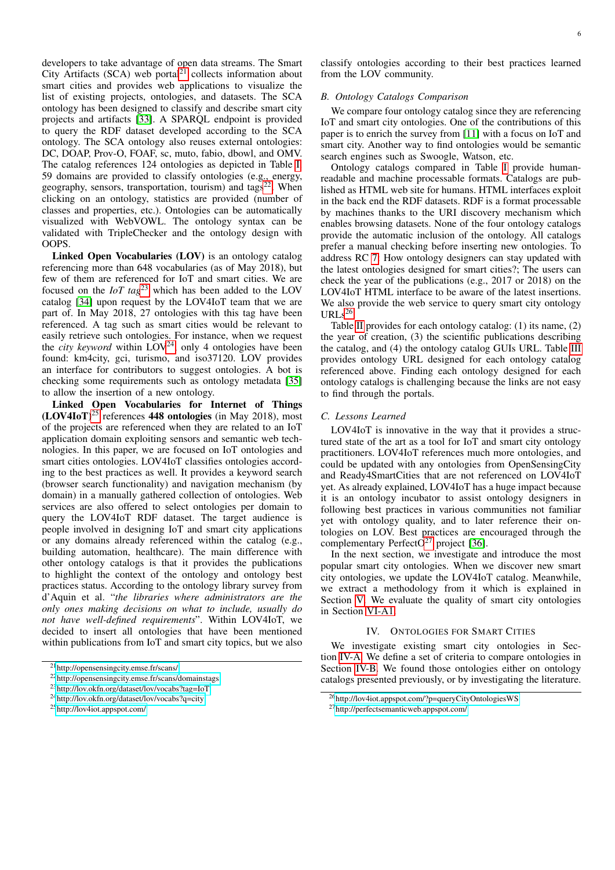developers to take advantage of open data streams. The Smart City Artifacts (SCA) web portal<sup>[21](#page-6-2)</sup> collects information about smart cities and provides web applications to visualize the list of existing projects, ontologies, and datasets. The SCA ontology has been designed to classify and describe smart city projects and artifacts [\[33\]](#page-13-5). A SPARQL endpoint is provided to query the RDF dataset developed according to the SCA ontology. The SCA ontology also reuses external ontologies: DC, DOAP, Prov-O, FOAF, sc, muto, fabio, dbowl, and OMV. The catalog references 124 ontologies as depicted in Table [I.](#page-15-0) 59 domains are provided to classify ontologies (e.g., energy, geography, sensors, transportation, tourism) and tags<sup>[22](#page-6-3)</sup>. When clicking on an ontology, statistics are provided (number of classes and properties, etc.). Ontologies can be automatically visualized with WebVOWL. The ontology syntax can be validated with TripleChecker and the ontology design with OOPS.

Linked Open Vocabularies (LOV) is an ontology catalog referencing more than 648 vocabularies (as of May 2018), but few of them are referenced for IoT and smart cities. We are focused on the *IoT tag*[23](#page-6-4) which has been added to the LOV catalog [\[34\]](#page-13-6) upon request by the LOV4IoT team that we are part of. In May 2018, 27 ontologies with this tag have been referenced. A tag such as smart cities would be relevant to easily retrieve such ontologies. For instance, when we request the *city keyword* within LOV<sup>[24](#page-6-5)</sup>, only 4 ontologies have been found: km4city, gci, turismo, and iso37120. LOV provides an interface for contributors to suggest ontologies. A bot is checking some requirements such as ontology metadata [\[35\]](#page-13-7) to allow the insertion of a new ontology.

Linked Open Vocabularies for Internet of Things  $(LOVAIoT)<sup>25</sup>$  $(LOVAIoT)<sup>25</sup>$  $(LOVAIoT)<sup>25</sup>$  references 448 ontologies (in May 2018), most of the projects are referenced when they are related to an IoT application domain exploiting sensors and semantic web technologies. In this paper, we are focused on IoT ontologies and smart cities ontologies. LOV4IoT classifies ontologies according to the best practices as well. It provides a keyword search (browser search functionality) and navigation mechanism (by domain) in a manually gathered collection of ontologies. Web services are also offered to select ontologies per domain to query the LOV4IoT RDF dataset. The target audience is people involved in designing IoT and smart city applications or any domains already referenced within the catalog (e.g., building automation, healthcare). The main difference with other ontology catalogs is that it provides the publications to highlight the context of the ontology and ontology best practices status. According to the ontology library survey from d'Aquin et al. "*the libraries where administrators are the only ones making decisions on what to include, usually do not have well-defined requirements*". Within LOV4IoT, we decided to insert all ontologies that have been mentioned within publications from IoT and smart city topics, but we also classify ontologies according to their best practices learned from the LOV community.

### <span id="page-6-1"></span>*B. Ontology Catalogs Comparison*

We compare four ontology catalog since they are referencing IoT and smart city ontologies. One of the contributions of this paper is to enrich the survey from [\[11\]](#page-12-10) with a focus on IoT and smart city. Another way to find ontologies would be semantic search engines such as Swoogle, Watson, etc.

Ontology catalogs compared in Table [I](#page-15-0) provide humanreadable and machine processable formats. Catalogs are published as HTML web site for humans. HTML interfaces exploit in the back end the RDF datasets. RDF is a format processable by machines thanks to the URI discovery mechanism which enables browsing datasets. None of the four ontology catalogs provide the automatic inclusion of the ontology. All catalogs prefer a manual checking before inserting new ontologies. To address RC [7:](#page-2-4) How ontology designers can stay updated with the latest ontologies designed for smart cities?; The users can check the year of the publications (e.g., 2017 or 2018) on the LOV4IoT HTML interface to be aware of the latest insertions. We also provide the web service to query smart city ontology  $URLs^{26}$  $URLs^{26}$  $URLs^{26}$ .

Table [II](#page-15-1) provides for each ontology catalog: (1) its name, (2) the year of creation, (3) the scientific publications describing the catalog, and (4) the ontology catalog GUIs URL. Table [III](#page-15-2) provides ontology URL designed for each ontology catalog referenced above. Finding each ontology designed for each ontology catalogs is challenging because the links are not easy to find through the portals.

### <span id="page-6-9"></span>*C. Lessons Learned*

LOV4IoT is innovative in the way that it provides a structured state of the art as a tool for IoT and smart city ontology practitioners. LOV4IoT references much more ontologies, and could be updated with any ontologies from OpenSensingCity and Ready4SmartCities that are not referenced on LOV4IoT yet. As already explained, LOV4IoT has a huge impact because it is an ontology incubator to assist ontology designers in following best practices in various communities not familiar yet with ontology quality, and to later reference their ontologies on LOV. Best practices are encouraged through the complementary PerfectO<sup>[27](#page-6-8)</sup> project [\[36\]](#page-13-8).

In the next section, we investigate and introduce the most popular smart city ontologies. When we discover new smart city ontologies, we update the LOV4IoT catalog. Meanwhile, we extract a methodology from it which is explained in Section [V.](#page-8-0) We evaluate the quality of smart city ontologies in Section [VI-A1.](#page-10-3)

### IV. ONTOLOGIES FOR SMART CITIES

<span id="page-6-0"></span>We investigate existing smart city ontologies in Section [IV-A.](#page-7-0) We define a set of criteria to compare ontologies in Section [IV-B.](#page-7-1) We found those ontologies either on ontology catalogs presented previously, or by investigating the literature.

<span id="page-6-2"></span><sup>21</sup><http://opensensingcity.emse.fr/scans/>

<span id="page-6-3"></span><sup>22</sup><http://opensensingcity.emse.fr/scans/domainstags>

<span id="page-6-4"></span><sup>23</sup><http://lov.okfn.org/dataset/lov/vocabs?tag=IoT>

<span id="page-6-5"></span><sup>24</sup><http://lov.okfn.org/dataset/lov/vocabs?q=city>

<span id="page-6-6"></span><sup>25</sup><http://lov4iot.appspot.com/>

<span id="page-6-7"></span><sup>26</sup><http://lov4iot.appspot.com/?p=queryCityOntologiesWS>

<span id="page-6-8"></span><sup>27</sup><http://perfectsemanticweb.appspot.com/>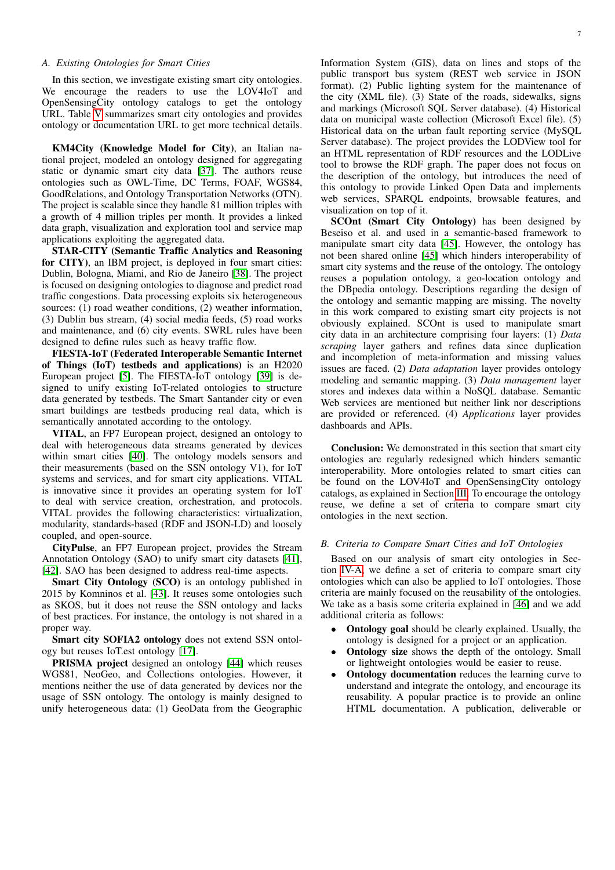### <span id="page-7-0"></span>*A. Existing Ontologies for Smart Cities*

In this section, we investigate existing smart city ontologies. We encourage the readers to use the LOV4IoT and OpenSensingCity ontology catalogs to get the ontology URL. Table [V](#page-16-0) summarizes smart city ontologies and provides ontology or documentation URL to get more technical details.

KM4City (Knowledge Model for City), an Italian national project, modeled an ontology designed for aggregating static or dynamic smart city data [\[37\]](#page-13-9). The authors reuse ontologies such as OWL-Time, DC Terms, FOAF, WGS84, GoodRelations, and Ontology Transportation Networks (OTN). The project is scalable since they handle 81 million triples with a growth of 4 million triples per month. It provides a linked data graph, visualization and exploration tool and service map applications exploiting the aggregated data.

STAR-CITY (Semantic Traffic Analytics and Reasoning for CITY), an IBM project, is deployed in four smart cities: Dublin, Bologna, Miami, and Rio de Janeiro [\[38\]](#page-13-10). The project is focused on designing ontologies to diagnose and predict road traffic congestions. Data processing exploits six heterogeneous sources: (1) road weather conditions, (2) weather information, (3) Dublin bus stream, (4) social media feeds, (5) road works and maintenance, and (6) city events. SWRL rules have been designed to define rules such as heavy traffic flow.

FIESTA-IoT (Federated Interoperable Semantic Internet of Things (IoT) testbeds and applications) is an H2020 European project [\[5\]](#page-12-4). The FIESTA-IoT ontology [\[39\]](#page-13-11) is designed to unify existing IoT-related ontologies to structure data generated by testbeds. The Smart Santander city or even smart buildings are testbeds producing real data, which is semantically annotated according to the ontology.

VITAL, an FP7 European project, designed an ontology to deal with heterogeneous data streams generated by devices within smart cities [\[40\]](#page-13-12). The ontology models sensors and their measurements (based on the SSN ontology V1), for IoT systems and services, and for smart city applications. VITAL is innovative since it provides an operating system for IoT to deal with service creation, orchestration, and protocols. VITAL provides the following characteristics: virtualization, modularity, standards-based (RDF and JSON-LD) and loosely coupled, and open-source.

CityPulse, an FP7 European project, provides the Stream Annotation Ontology (SAO) to unify smart city datasets [\[41\]](#page-13-13), [\[42\]](#page-13-14). SAO has been designed to address real-time aspects.

Smart City Ontology (SCO) is an ontology published in 2015 by Komninos et al. [\[43\]](#page-13-15). It reuses some ontologies such as SKOS, but it does not reuse the SSN ontology and lacks of best practices. For instance, the ontology is not shared in a proper way.

Smart city SOFIA2 ontology does not extend SSN ontology but reuses IoT.est ontology [\[17\]](#page-12-17).

PRISMA project designed an ontology [\[44\]](#page-13-16) which reuses WGS81, NeoGeo, and Collections ontologies. However, it mentions neither the use of data generated by devices nor the usage of SSN ontology. The ontology is mainly designed to unify heterogeneous data: (1) GeoData from the Geographic

Information System (GIS), data on lines and stops of the public transport bus system (REST web service in JSON format). (2) Public lighting system for the maintenance of the city (XML file). (3) State of the roads, sidewalks, signs and markings (Microsoft SQL Server database). (4) Historical data on municipal waste collection (Microsoft Excel file). (5) Historical data on the urban fault reporting service (MySQL Server database). The project provides the LODView tool for an HTML representation of RDF resources and the LODLive tool to browse the RDF graph. The paper does not focus on the description of the ontology, but introduces the need of this ontology to provide Linked Open Data and implements web services, SPARQL endpoints, browsable features, and visualization on top of it.

SCOnt (Smart City Ontology) has been designed by Beseiso et al. and used in a semantic-based framework to manipulate smart city data [\[45\]](#page-13-17). However, the ontology has not been shared online [\[45\]](#page-13-17) which hinders interoperability of smart city systems and the reuse of the ontology. The ontology reuses a population ontology, a geo-location ontology and the DBpedia ontology. Descriptions regarding the design of the ontology and semantic mapping are missing. The novelty in this work compared to existing smart city projects is not obviously explained. SCOnt is used to manipulate smart city data in an architecture comprising four layers: (1) *Data scraping* layer gathers and refines data since duplication and incompletion of meta-information and missing values issues are faced. (2) *Data adaptation* layer provides ontology modeling and semantic mapping. (3) *Data management* layer stores and indexes data within a NoSQL database. Semantic Web services are mentioned but neither link nor descriptions are provided or referenced. (4) *Applications* layer provides dashboards and APIs.

Conclusion: We demonstrated in this section that smart city ontologies are regularly redesigned which hinders semantic interoperability. More ontologies related to smart cities can be found on the LOV4IoT and OpenSensingCity ontology catalogs, as explained in Section [III.](#page-5-0) To encourage the ontology reuse, we define a set of criteria to compare smart city ontologies in the next section.

### <span id="page-7-1"></span>*B. Criteria to Compare Smart Cities and IoT Ontologies*

Based on our analysis of smart city ontologies in Section [IV-A,](#page-7-0) we define a set of criteria to compare smart city ontologies which can also be applied to IoT ontologies. Those criteria are mainly focused on the reusability of the ontologies. We take as a basis some criteria explained in [\[46\]](#page-13-18) and we add additional criteria as follows:

- Ontology goal should be clearly explained. Usually, the ontology is designed for a project or an application.
- **Ontology size** shows the depth of the ontology. Small or lightweight ontologies would be easier to reuse.
- Ontology documentation reduces the learning curve to understand and integrate the ontology, and encourage its reusability. A popular practice is to provide an online HTML documentation. A publication, deliverable or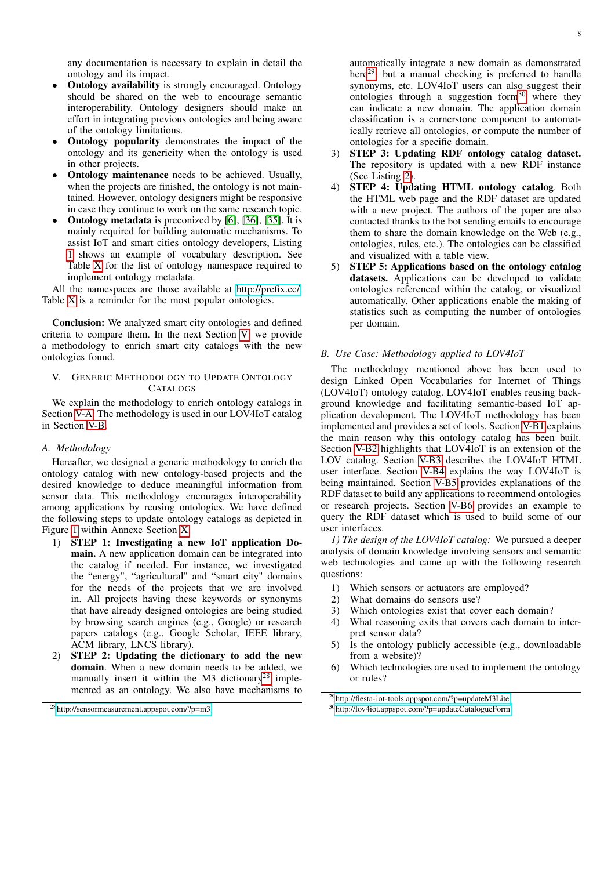any documentation is necessary to explain in detail the ontology and its impact.

- **Ontology availability** is strongly encouraged. Ontology should be shared on the web to encourage semantic interoperability. Ontology designers should make an effort in integrating previous ontologies and being aware of the ontology limitations.
- Ontology popularity demonstrates the impact of the ontology and its genericity when the ontology is used in other projects.
- Ontology maintenance needs to be achieved. Usually, when the projects are finished, the ontology is not maintained. However, ontology designers might be responsive in case they continue to work on the same research topic.
- **Ontology metadata** is preconized by [\[6\]](#page-12-5), [\[36\]](#page-13-8), [\[35\]](#page-13-7). It is mainly required for building automatic mechanisms. To assist IoT and smart cities ontology developers, Listing [1](#page-14-1) shows an example of vocabulary description. See Table [X](#page-17-0) for the list of ontology namespace required to implement ontology metadata.

All the namespaces are those available at [http://prefix.cc/.](http://prefix.cc/) Table [X](#page-17-0) is a reminder for the most popular ontologies.

Conclusion: We analyzed smart city ontologies and defined criteria to compare them. In the next Section [V,](#page-8-0) we provide a methodology to enrich smart city catalogs with the new ontologies found.

### <span id="page-8-0"></span>V. GENERIC METHODOLOGY TO UPDATE ONTOLOGY **CATALOGS**

We explain the methodology to enrich ontology catalogs in Section [V-A.](#page-8-2) The methodology is used in our LOV4IoT catalog in Section [V-B.](#page-8-1)

### <span id="page-8-2"></span>*A. Methodology*

Hereafter, we designed a generic methodology to enrich the ontology catalog with new ontology-based projects and the desired knowledge to deduce meaningful information from sensor data. This methodology encourages interoperability among applications by reusing ontologies. We have defined the following steps to update ontology catalogs as depicted in Figure [1](#page-14-2) within Annexe Section [X.](#page-14-0)

- 1) STEP 1: Investigating a new IoT application Domain. A new application domain can be integrated into the catalog if needed. For instance, we investigated the "energy", "agricultural" and "smart city" domains for the needs of the projects that we are involved in. All projects having these keywords or synonyms that have already designed ontologies are being studied by browsing search engines (e.g., Google) or research papers catalogs (e.g., Google Scholar, IEEE library, ACM library, LNCS library).
- 2) STEP 2: Updating the dictionary to add the new domain. When a new domain needs to be added, we manually insert it within the M3 dictionary<sup>[28](#page-8-3)</sup> implemented as an ontology. We also have mechanisms to

automatically integrate a new domain as demonstrated here<sup>[29](#page-8-4)</sup>, but a manual checking is preferred to handle synonyms, etc. LOV4IoT users can also suggest their ontologies through a suggestion form $30$  where they can indicate a new domain. The application domain classification is a cornerstone component to automatically retrieve all ontologies, or compute the number of ontologies for a specific domain.

- 3) STEP 3: Updating RDF ontology catalog dataset. The repository is updated with a new RDF instance (See Listing [2\)](#page-14-3).
- 4) STEP 4: Updating HTML ontology catalog. Both the HTML web page and the RDF dataset are updated with a new project. The authors of the paper are also contacted thanks to the bot sending emails to encourage them to share the domain knowledge on the Web (e.g., ontologies, rules, etc.). The ontologies can be classified and visualized with a table view.
- 5) STEP 5: Applications based on the ontology catalog datasets. Applications can be developed to validate ontologies referenced within the catalog, or visualized automatically. Other applications enable the making of statistics such as computing the number of ontologies per domain.

### <span id="page-8-1"></span>*B. Use Case: Methodology applied to LOV4IoT*

The methodology mentioned above has been used to design Linked Open Vocabularies for Internet of Things (LOV4IoT) ontology catalog. LOV4IoT enables reusing background knowledge and facilitating semantic-based IoT application development. The LOV4IoT methodology has been implemented and provides a set of tools. Section [V-B1](#page-8-6) explains the main reason why this ontology catalog has been built. Section [V-B2](#page-9-0) highlights that LOV4IoT is an extension of the LOV catalog. Section [V-B3](#page-9-1) describes the LOV4IoT HTML user interface. Section [V-B4](#page-9-2) explains the way LOV4IoT is being maintained. Section [V-B5](#page-9-3) provides explanations of the RDF dataset to build any applications to recommend ontologies or research projects. Section [V-B6](#page-10-4) provides an example to query the RDF dataset which is used to build some of our user interfaces.

<span id="page-8-6"></span>*1) The design of the LOV4IoT catalog:* We pursued a deeper analysis of domain knowledge involving sensors and semantic web technologies and came up with the following research questions:

- 1) Which sensors or actuators are employed?
- 2) What domains do sensors use?
- 3) Which ontologies exist that cover each domain?
- 4) What reasoning exits that covers each domain to interpret sensor data?
- 5) Is the ontology publicly accessible (e.g., downloadable from a website)?
- 6) Which technologies are used to implement the ontology or rules?

<span id="page-8-3"></span><sup>28</sup><http://sensormeasurement.appspot.com/?p=m3>

<span id="page-8-5"></span><span id="page-8-4"></span><sup>29</sup><http://fiesta-iot-tools.appspot.com/?p=updateM3Lite> <sup>30</sup><http://lov4iot.appspot.com/?p=updateCatalogueForm>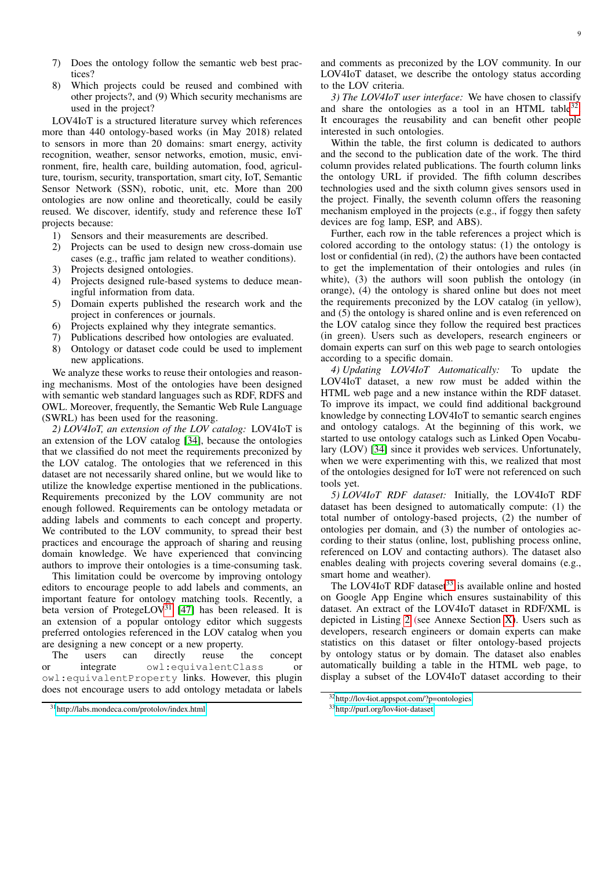- 7) Does the ontology follow the semantic web best practices?
- 8) Which projects could be reused and combined with other projects?, and (9) Which security mechanisms are used in the project?

LOV4IoT is a structured literature survey which references more than 440 ontology-based works (in May 2018) related to sensors in more than 20 domains: smart energy, activity recognition, weather, sensor networks, emotion, music, environment, fire, health care, building automation, food, agriculture, tourism, security, transportation, smart city, IoT, Semantic Sensor Network (SSN), robotic, unit, etc. More than 200 ontologies are now online and theoretically, could be easily reused. We discover, identify, study and reference these IoT projects because:

- 1) Sensors and their measurements are described.
- 2) Projects can be used to design new cross-domain use cases (e.g., traffic jam related to weather conditions).
- 3) Projects designed ontologies.
- 4) Projects designed rule-based systems to deduce meaningful information from data.
- 5) Domain experts published the research work and the project in conferences or journals.
- 6) Projects explained why they integrate semantics.
- 7) Publications described how ontologies are evaluated.
- 8) Ontology or dataset code could be used to implement new applications.

We analyze these works to reuse their ontologies and reasoning mechanisms. Most of the ontologies have been designed with semantic web standard languages such as RDF, RDFS and OWL. Moreover, frequently, the Semantic Web Rule Language (SWRL) has been used for the reasoning.

<span id="page-9-0"></span>*2) LOV4IoT, an extension of the LOV catalog:* LOV4IoT is an extension of the LOV catalog [\[34\]](#page-13-6), because the ontologies that we classified do not meet the requirements preconized by the LOV catalog. The ontologies that we referenced in this dataset are not necessarily shared online, but we would like to utilize the knowledge expertise mentioned in the publications. Requirements preconized by the LOV community are not enough followed. Requirements can be ontology metadata or adding labels and comments to each concept and property. We contributed to the LOV community, to spread their best practices and encourage the approach of sharing and reusing domain knowledge. We have experienced that convincing authors to improve their ontologies is a time-consuming task.

This limitation could be overcome by improving ontology editors to encourage people to add labels and comments, an important feature for ontology matching tools. Recently, a beta version of ProtegeLOV $^{31}$  $^{31}$  $^{31}$  [\[47\]](#page-13-19) has been released. It is an extension of a popular ontology editor which suggests preferred ontologies referenced in the LOV catalog when you are designing a new concept or a new property.

The users can directly reuse the concept or integrate owl:equivalentClass or owl:equivalentProperty links. However, this plugin does not encourage users to add ontology metadata or labels and comments as preconized by the LOV community. In our LOV4IoT dataset, we describe the ontology status according to the LOV criteria.

<span id="page-9-1"></span>*3) The LOV4IoT user interface:* We have chosen to classify and share the ontologies as a tool in an HTML table<sup>[32](#page-9-5)</sup>. It encourages the reusability and can benefit other people interested in such ontologies.

Within the table, the first column is dedicated to authors and the second to the publication date of the work. The third column provides related publications. The fourth column links the ontology URL if provided. The fifth column describes technologies used and the sixth column gives sensors used in the project. Finally, the seventh column offers the reasoning mechanism employed in the projects (e.g., if foggy then safety devices are fog lamp, ESP, and ABS).

Further, each row in the table references a project which is colored according to the ontology status: (1) the ontology is lost or confidential (in red), (2) the authors have been contacted to get the implementation of their ontologies and rules (in white), (3) the authors will soon publish the ontology (in orange), (4) the ontology is shared online but does not meet the requirements preconized by the LOV catalog (in yellow), and (5) the ontology is shared online and is even referenced on the LOV catalog since they follow the required best practices (in green). Users such as developers, research engineers or domain experts can surf on this web page to search ontologies according to a specific domain.

<span id="page-9-2"></span>*4) Updating LOV4IoT Automatically:* To update the LOV4IoT dataset, a new row must be added within the HTML web page and a new instance within the RDF dataset. To improve its impact, we could find additional background knowledge by connecting LOV4IoT to semantic search engines and ontology catalogs. At the beginning of this work, we started to use ontology catalogs such as Linked Open Vocabulary (LOV) [\[34\]](#page-13-6) since it provides web services. Unfortunately, when we were experimenting with this, we realized that most of the ontologies designed for IoT were not referenced on such tools yet.

<span id="page-9-3"></span>*5) LOV4IoT RDF dataset:* Initially, the LOV4IoT RDF dataset has been designed to automatically compute: (1) the total number of ontology-based projects, (2) the number of ontologies per domain, and (3) the number of ontologies according to their status (online, lost, publishing process online, referenced on LOV and contacting authors). The dataset also enables dealing with projects covering several domains (e.g., smart home and weather).

The LOV4IoT RDF dataset<sup>[33](#page-9-6)</sup> is available online and hosted on Google App Engine which ensures sustainability of this dataset. An extract of the LOV4IoT dataset in RDF/XML is depicted in Listing [2](#page-14-3) (see Annexe Section [X\)](#page-14-0). Users such as developers, research engineers or domain experts can make statistics on this dataset or filter ontology-based projects by ontology status or by domain. The dataset also enables automatically building a table in the HTML web page, to display a subset of the LOV4IoT dataset according to their

<span id="page-9-4"></span><sup>31</sup><http://labs.mondeca.com/protolov/index.html>

<span id="page-9-5"></span><sup>32</sup><http://lov4iot.appspot.com/?p=ontologies>

<span id="page-9-6"></span><sup>33</sup><http://purl.org/lov4iot-dataset>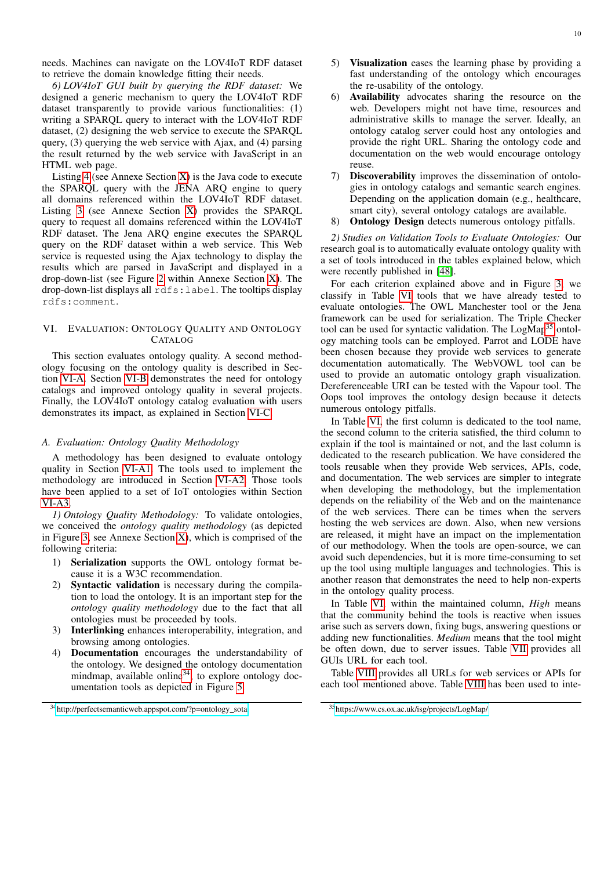<span id="page-10-4"></span>*6) LOV4IoT GUI built by querying the RDF dataset:* We designed a generic mechanism to query the LOV4IoT RDF dataset transparently to provide various functionalities: (1) writing a SPARQL query to interact with the LOV4IoT RDF dataset, (2) designing the web service to execute the SPARQL query,  $(3)$  querying the web service with Ajax, and  $(4)$  parsing the result returned by the web service with JavaScript in an HTML web page.

Listing [4](#page-14-4) (see Annexe Section [X\)](#page-14-0) is the Java code to execute the SPARQL query with the JENA ARQ engine to query all domains referenced within the LOV4IoT RDF dataset. Listing [3](#page-14-5) (see Annexe Section [X\)](#page-14-0) provides the SPARQL query to request all domains referenced within the LOV4IoT RDF dataset. The Jena ARQ engine executes the SPARQL query on the RDF dataset within a web service. This Web service is requested using the Ajax technology to display the results which are parsed in JavaScript and displayed in a drop-down-list (see Figure [2](#page-15-3) within Annexe Section [X\)](#page-14-0). The drop-down-list displays all rdfs:label. The tooltips display rdfs:comment.

### <span id="page-10-0"></span>VI. EVALUATION: ONTOLOGY QUALITY AND ONTOLOGY CATALOG

This section evaluates ontology quality. A second methodology focusing on the ontology quality is described in Section [VI-A.](#page-10-1) Section [VI-B](#page-11-2) demonstrates the need for ontology catalogs and improved ontology quality in several projects. Finally, the LOV4IoT ontology catalog evaluation with users demonstrates its impact, as explained in Section [VI-C.](#page-11-0)

### <span id="page-10-1"></span>*A. Evaluation: Ontology Quality Methodology*

A methodology has been designed to evaluate ontology quality in Section [VI-A1.](#page-10-3) The tools used to implement the methodology are introduced in Section [VI-A2.](#page-10-2) Those tools have been applied to a set of IoT ontologies within Section [VI-A3.](#page-11-3)

<span id="page-10-3"></span>*1) Ontology Quality Methodology:* To validate ontologies, we conceived the *ontology quality methodology* (as depicted in Figure [3,](#page-18-0) see Annexe Section [X\)](#page-14-0), which is comprised of the following criteria:

- 1) Serialization supports the OWL ontology format because it is a W3C recommendation.
- Syntactic validation is necessary during the compilation to load the ontology. It is an important step for the *ontology quality methodology* due to the fact that all ontologies must be proceeded by tools.
- 3) Interlinking enhances interoperability, integration, and browsing among ontologies.
- <span id="page-10-5"></span>4) Documentation encourages the understandability of the ontology. We designed the ontology documentation mindmap, available online<sup>[34](#page-10-5)</sup>, to explore ontology documentation tools as depicted in Figure [5.](#page-20-0)
- 5) Visualization eases the learning phase by providing a fast understanding of the ontology which encourages the re-usability of the ontology.
- 6) Availability advocates sharing the resource on the web. Developers might not have time, resources and administrative skills to manage the server. Ideally, an ontology catalog server could host any ontologies and provide the right URL. Sharing the ontology code and documentation on the web would encourage ontology reuse.
- 7) Discoverability improves the dissemination of ontologies in ontology catalogs and semantic search engines. Depending on the application domain (e.g., healthcare, smart city), several ontology catalogs are available.
- 8) Ontology Design detects numerous ontology pitfalls.

<span id="page-10-2"></span>*2) Studies on Validation Tools to Evaluate Ontologies:* Our research goal is to automatically evaluate ontology quality with a set of tools introduced in the tables explained below, which were recently published in [\[48\]](#page-13-20).

For each criterion explained above and in Figure [3,](#page-18-0) we classify in Table [VI](#page-16-1) tools that we have already tested to evaluate ontologies. The OWL Manchester tool or the Jena framework can be used for serialization. The Triple Checker tool can be used for syntactic validation. The  $LogMap^{35}$  $LogMap^{35}$  $LogMap^{35}$  ontology matching tools can be employed. Parrot and LODE have been chosen because they provide web services to generate documentation automatically. The WebVOWL tool can be used to provide an automatic ontology graph visualization. Dereferenceable URI can be tested with the Vapour tool. The Oops tool improves the ontology design because it detects numerous ontology pitfalls.

In Table [VI,](#page-16-1) the first column is dedicated to the tool name, the second column to the criteria satisfied, the third column to explain if the tool is maintained or not, and the last column is dedicated to the research publication. We have considered the tools reusable when they provide Web services, APIs, code, and documentation. The web services are simpler to integrate when developing the methodology, but the implementation depends on the reliability of the Web and on the maintenance of the web services. There can be times when the servers hosting the web services are down. Also, when new versions are released, it might have an impact on the implementation of our methodology. When the tools are open-source, we can avoid such dependencies, but it is more time-consuming to set up the tool using multiple languages and technologies. This is another reason that demonstrates the need to help non-experts in the ontology quality process.

In Table [VI,](#page-16-1) within the maintained column, *High* means that the community behind the tools is reactive when issues arise such as servers down, fixing bugs, answering questions or adding new functionalities. *Medium* means that the tool might be often down, due to server issues. Table [VII](#page-16-2) provides all GUIs URL for each tool.

Table [VIII](#page-16-3) provides all URLs for web services or APIs for each tool mentioned above. Table [VIII](#page-16-3) has been used to inte-

<span id="page-10-6"></span><sup>35</sup><https://www.cs.ox.ac.uk/isg/projects/LogMap/>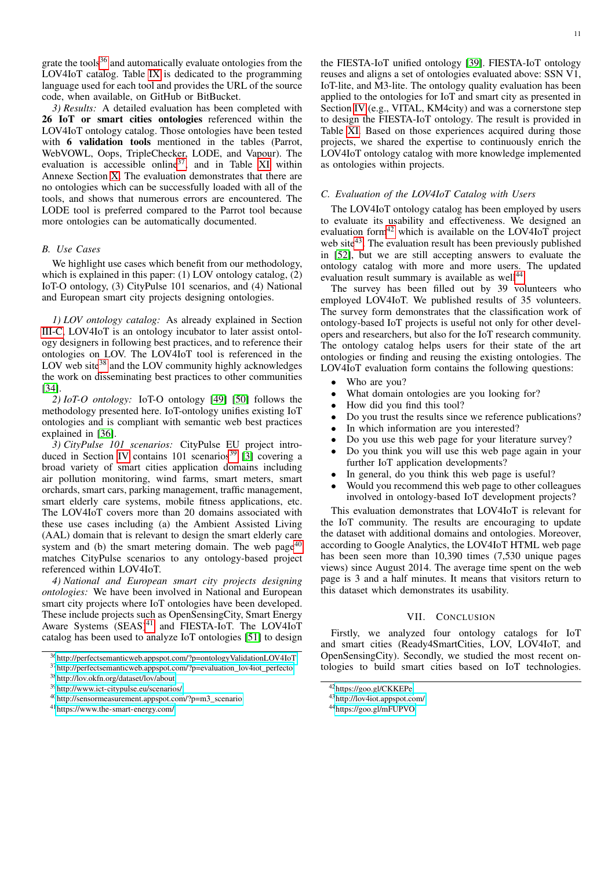grate the tools $36$  and automatically evaluate ontologies from the LOV4IoT catalog. Table [IX](#page-17-1) is dedicated to the programming language used for each tool and provides the URL of the source code, when available, on GitHub or BitBucket.

<span id="page-11-3"></span>*3) Results:* A detailed evaluation has been completed with 26 IoT or smart cities ontologies referenced within the LOV4IoT ontology catalog. Those ontologies have been tested with **6 validation tools** mentioned in the tables (Parrot, WebVOWL, Oops, TripleChecker, LODE, and Vapour). The evaluation is accessible online<sup>[37](#page-11-5)</sup>, and in Table [XI](#page-22-0) within Annexe Section [X.](#page-14-0) The evaluation demonstrates that there are no ontologies which can be successfully loaded with all of the tools, and shows that numerous errors are encountered. The LODE tool is preferred compared to the Parrot tool because more ontologies can be automatically documented.

### <span id="page-11-2"></span>*B. Use Cases*

We highlight use cases which benefit from our methodology, which is explained in this paper: (1) LOV ontology catalog, (2) IoT-O ontology, (3) CityPulse 101 scenarios, and (4) National and European smart city projects designing ontologies.

*1) LOV ontology catalog:* As already explained in Section [III-C,](#page-6-9) LOV4IoT is an ontology incubator to later assist ontology designers in following best practices, and to reference their ontologies on LOV. The LOV4IoT tool is referenced in the LOV web site $38$  and the LOV community highly acknowledges the work on disseminating best practices to other communities [\[34\]](#page-13-6).

*2) IoT-O ontology:* IoT-O ontology [\[49\]](#page-13-21) [\[50\]](#page-13-22) follows the methodology presented here. IoT-ontology unifies existing IoT ontologies and is compliant with semantic web best practices explained in [\[36\]](#page-13-8).

*3) CityPulse 101 scenarios:* CityPulse EU project intro-duced in Section [IV](#page-6-0) contains 101 scenarios<sup>[39](#page-11-7)</sup> [\[3\]](#page-12-2) covering a broad variety of smart cities application domains including air pollution monitoring, wind farms, smart meters, smart orchards, smart cars, parking management, traffic management, smart elderly care systems, mobile fitness applications, etc. The LOV4IoT covers more than 20 domains associated with these use cases including (a) the Ambient Assisted Living (AAL) domain that is relevant to design the smart elderly care system and (b) the smart metering domain. The web  $page^{40}$  $page^{40}$  $page^{40}$ matches CityPulse scenarios to any ontology-based project referenced within LOV4IoT.

*4) National and European smart city projects designing ontologies:* We have been involved in National and European smart city projects where IoT ontologies have been developed. These include projects such as OpenSensingCity, Smart Energy Aware Systems  $(SEAS)^{41}$  $(SEAS)^{41}$  $(SEAS)^{41}$  and FIESTA-IoT. The LOV4IoT catalog has been used to analyze IoT ontologies [\[51\]](#page-13-23) to design

the FIESTA-IoT unified ontology [\[39\]](#page-13-11). FIESTA-IoT ontology reuses and aligns a set of ontologies evaluated above: SSN V1, IoT-lite, and M3-lite. The ontology quality evaluation has been applied to the ontologies for IoT and smart city as presented in Section [IV](#page-6-0) (e.g., VITAL, KM4city) and was a cornerstone step to design the FIESTA-IoT ontology. The result is provided in Table [XI.](#page-22-0) Based on those experiences acquired during those projects, we shared the expertise to continuously enrich the LOV4IoT ontology catalog with more knowledge implemented as ontologies within projects.

### <span id="page-11-0"></span>*C. Evaluation of the LOV4IoT Catalog with Users*

The LOV4IoT ontology catalog has been employed by users to evaluate its usability and effectiveness. We designed an evaluation form $42$  which is available on the LOV4IoT project web site $43$ . The evaluation result has been previously published in [\[52\]](#page-13-24), but we are still accepting answers to evaluate the ontology catalog with more and more users. The updated evaluation result summary is available as well $^{44}$  $^{44}$  $^{44}$ .

The survey has been filled out by 39 volunteers who employed LOV4IoT. We published results of 35 volunteers. The survey form demonstrates that the classification work of ontology-based IoT projects is useful not only for other developers and researchers, but also for the IoT research community. The ontology catalog helps users for their state of the art ontologies or finding and reusing the existing ontologies. The LOV4IoT evaluation form contains the following questions:

- Who are you?
- What domain ontologies are you looking for?
- How did you find this tool?
- Do you trust the results since we reference publications?
- In which information are you interested?
- Do you use this web page for your literature survey?
- Do you think you will use this web page again in your further IoT application developments?
- In general, do you think this web page is useful?
- Would you recommend this web page to other colleagues involved in ontology-based IoT development projects?

This evaluation demonstrates that LOV4IoT is relevant for the IoT community. The results are encouraging to update the dataset with additional domains and ontologies. Moreover, according to Google Analytics, the LOV4IoT HTML web page has been seen more than 10,390 times (7,530 unique pages views) since August 2014. The average time spent on the web page is 3 and a half minutes. It means that visitors return to this dataset which demonstrates its usability.

### VII. CONCLUSION

<span id="page-11-1"></span>Firstly, we analyzed four ontology catalogs for IoT and smart cities (Ready4SmartCities, LOV, LOV4IoT, and OpenSensingCity). Secondly, we studied the most recent ontologies to build smart cities based on IoT technologies.

<span id="page-11-5"></span><span id="page-11-4"></span><sup>36</sup><http://perfectsemanticweb.appspot.com/?p=ontologyValidationLOV4IoT> <sup>37</sup>[http://perfectsemanticweb.appspot.com/?p=evaluation\\_lov4iot\\_perfecto](http://perfectsemanticweb.appspot.com/?p=evaluation_lov4iot_perfecto)

<span id="page-11-6"></span><sup>38</sup><http://lov.okfn.org/dataset/lov/about>

<span id="page-11-7"></span><sup>39</sup><http://www.ict-citypulse.eu/scenarios/>

<span id="page-11-8"></span><sup>40</sup>[http://sensormeasurement.appspot.com/?p=m3\\_scenario](http://sensormeasurement.appspot.com/?p=m3_scenario)

<span id="page-11-9"></span><sup>41</sup><https://www.the-smart-energy.com/>

<span id="page-11-10"></span><sup>42</sup><https://goo.gl/CKKEPe>

<span id="page-11-11"></span><sup>43</sup><http://lov4iot.appspot.com/>

<span id="page-11-12"></span><sup>44</sup><https://goo.gl/mFUPVO>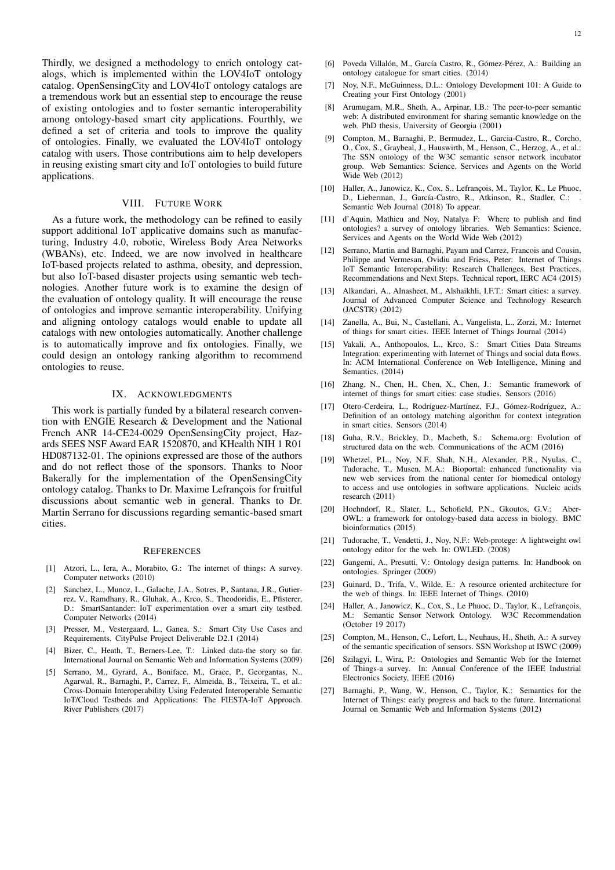Thirdly, we designed a methodology to enrich ontology catalogs, which is implemented within the LOV4IoT ontology catalog. OpenSensingCity and LOV4IoT ontology catalogs are a tremendous work but an essential step to encourage the reuse of existing ontologies and to foster semantic interoperability among ontology-based smart city applications. Fourthly, we defined a set of criteria and tools to improve the quality of ontologies. Finally, we evaluated the LOV4IoT ontology catalog with users. Those contributions aim to help developers in reusing existing smart city and IoT ontologies to build future applications.

### VIII. FUTURE WORK

<span id="page-12-12"></span>As a future work, the methodology can be refined to easily support additional IoT applicative domains such as manufacturing, Industry 4.0, robotic, Wireless Body Area Networks (WBANs), etc. Indeed, we are now involved in healthcare IoT-based projects related to asthma, obesity, and depression, but also IoT-based disaster projects using semantic web technologies. Another future work is to examine the design of the evaluation of ontology quality. It will encourage the reuse of ontologies and improve semantic interoperability. Unifying and aligning ontology catalogs would enable to update all catalogs with new ontologies automatically. Another challenge is to automatically improve and fix ontologies. Finally, we could design an ontology ranking algorithm to recommend ontologies to reuse.

### IX. ACKNOWLEDGMENTS

This work is partially funded by a bilateral research convention with ENGIE Research & Development and the National French ANR 14-CE24-0029 OpenSensingCity project, Hazards SEES NSF Award EAR 1520870, and KHealth NIH 1 R01 HD087132-01. The opinions expressed are those of the authors and do not reflect those of the sponsors. Thanks to Noor Bakerally for the implementation of the OpenSensingCity ontology catalog. Thanks to Dr. Maxime Lefrançois for fruitful discussions about semantic web in general. Thanks to Dr. Martin Serrano for discussions regarding semantic-based smart cities.

### **REFERENCES**

- <span id="page-12-0"></span>[1] Atzori, L., Iera, A., Morabito, G.: The internet of things: A survey. Computer networks (2010)
- <span id="page-12-1"></span>[2] Sanchez, L., Munoz, L., Galache, J.A., Sotres, P., Santana, J.R., Gutierrez, V., Ramdhany, R., Gluhak, A., Krco, S., Theodoridis, E., Pfisterer, D.: SmartSantander: IoT experimentation over a smart city testbed. Computer Networks (2014)
- <span id="page-12-2"></span>[3] Presser, M., Vestergaard, L., Ganea, S.: Smart City Use Cases and Requirements. CityPulse Project Deliverable D2.1 (2014)
- <span id="page-12-3"></span>[4] Bizer, C., Heath, T., Berners-Lee, T.: Linked data-the story so far. International Journal on Semantic Web and Information Systems (2009)
- <span id="page-12-4"></span>Serrano, M., Gyrard, A., Boniface, M., Grace, P., Georgantas, N., Agarwal, R., Barnaghi, P., Carrez, F., Almeida, B., Teixeira, T., et al.: Cross-Domain Interoperability Using Federated Interoperable Semantic IoT/Cloud Testbeds and Applications: The FIESTA-IoT Approach. River Publishers (2017)
- <span id="page-12-5"></span>[6] Poveda Villalón, M., García Castro, R., Gómez-Pérez, A.: Building an ontology catalogue for smart cities. (2014)
- <span id="page-12-6"></span>[7] Noy, N.F., McGuinness, D.L.: Ontology Development 101: A Guide to Creating your First Ontology (2001)
- <span id="page-12-7"></span>[8] Arumugam, M.R., Sheth, A., Arpinar, I.B.: The peer-to-peer semantic web: A distributed environment for sharing semantic knowledge on the web. PhD thesis, University of Georgia (2001)
- <span id="page-12-8"></span>[9] Compton, M., Barnaghi, P., Bermudez, L., Garcia-Castro, R., Corcho, O., Cox, S., Graybeal, J., Hauswirth, M., Henson, C., Herzog, A., et al.: The SSN ontology of the W3C semantic sensor network incubator group. Web Semantics: Science, Services and Agents on the World Wide Web (2012)
- <span id="page-12-9"></span>[10] Haller, A., Janowicz, K., Cox, S., Lefrançois, M., Taylor, K., Le Phuoc, D., Lieberman, J., García-Castro, R., Atkinson, R., Stadler, C.: . Semantic Web Journal (2018) To appear.
- <span id="page-12-10"></span>[11] d'Aquin, Mathieu and Noy, Natalya F: Where to publish and find ontologies? a survey of ontology libraries. Web Semantics: Science, Services and Agents on the World Wide Web (2012)
- <span id="page-12-11"></span>[12] Serrano, Martin and Barnaghi, Payam and Carrez, Francois and Cousin, Philippe and Vermesan, Ovidiu and Friess, Peter: Internet of Things IoT Semantic Interoperability: Research Challenges, Best Practices, Recommendations and Next Steps. Technical report, IERC AC4 (2015)
- <span id="page-12-13"></span>[13] Alkandari, A., Alnasheet, M., Alshaikhli, I.F.T.: Smart cities: a survey. Journal of Advanced Computer Science and Technology Research (JACSTR) (2012)
- <span id="page-12-14"></span>[14] Zanella, A., Bui, N., Castellani, A., Vangelista, L., Zorzi, M.: Internet of things for smart cities. IEEE Internet of Things Journal (2014)
- <span id="page-12-15"></span>Vakali, A., Anthopoulos, L., Krco, S.: Smart Cities Data Streams Integration: experimenting with Internet of Things and social data flows. In: ACM International Conference on Web Intelligence, Mining and Semantics. (2014)
- <span id="page-12-16"></span>[16] Zhang, N., Chen, H., Chen, X., Chen, J.: Semantic framework of internet of things for smart cities: case studies. Sensors (2016)
- <span id="page-12-17"></span>[17] Otero-Cerdeira, L., Rodríguez-Martínez, F.J., Gómez-Rodríguez, A.: Definition of an ontology matching algorithm for context integration in smart cities. Sensors (2014)
- <span id="page-12-18"></span>[18] Guha, R.V., Brickley, D., Macbeth, S.: Schema.org: Evolution of structured data on the web. Communications of the ACM (2016)
- <span id="page-12-19"></span>[19] Whetzel, P.L., Noy, N.F., Shah, N.H., Alexander, P.R., Nyulas, C., Tudorache, T., Musen, M.A.: Bioportal: enhanced functionality via new web services from the national center for biomedical ontology to access and use ontologies in software applications. Nucleic acids research (2011)
- <span id="page-12-20"></span>[20] Hoehndorf, R., Slater, L., Schofield, P.N., Gkoutos, G.V.: Aber-OWL: a framework for ontology-based data access in biology. BMC bioinformatics (2015)
- <span id="page-12-21"></span>[21] Tudorache, T., Vendetti, J., Noy, N.F.: Web-protege: A lightweight owl ontology editor for the web. In: OWLED. (2008)
- <span id="page-12-22"></span>[22] Gangemi, A., Presutti, V.: Ontology design patterns. In: Handbook on ontologies. Springer (2009)
- <span id="page-12-23"></span>[23] Guinard, D., Trifa, V., Wilde, E.: A resource oriented architecture for the web of things. In: IEEE Internet of Things. (2010)
- <span id="page-12-24"></span>[24] Haller, A., Janowicz, K., Cox, S., Le Phuoc, D., Taylor, K., Lefrançois, M.: Semantic Sensor Network Ontology. W3C Recommendation (October 19 2017)
- <span id="page-12-25"></span>[25] Compton, M., Henson, C., Lefort, L., Neuhaus, H., Sheth, A.: A survey of the semantic specification of sensors. SSN Workshop at ISWC (2009)
- <span id="page-12-26"></span>[26] Szilagyi, I., Wira, P.: Ontologies and Semantic Web for the Internet of Things-a survey. In: Annual Conference of the IEEE Industrial Electronics Society, IEEE (2016)
- <span id="page-12-27"></span>[27] Barnaghi, P., Wang, W., Henson, C., Taylor, K.: Semantics for the Internet of Things: early progress and back to the future. International Journal on Semantic Web and Information Systems (2012)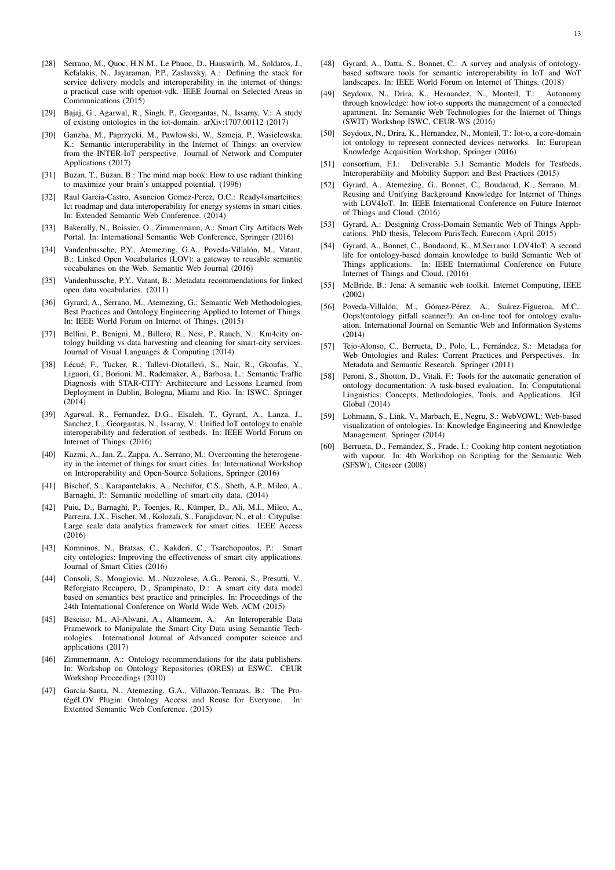- <span id="page-13-0"></span>[28] Serrano, M., Quoc, H.N.M., Le Phuoc, D., Hauswirth, M., Soldatos, J., Kefalakis, N., Jayaraman, P.P., Zaslavsky, A.: Defining the stack for service delivery models and interoperability in the internet of things: a practical case with openiot-vdk. IEEE Journal on Selected Areas in Communications (2015)
- <span id="page-13-1"></span>[29] Bajaj, G., Agarwal, R., Singh, P., Georgantas, N., Issarny, V.: A study of existing ontologies in the iot-domain. arXiv:1707.00112 (2017)
- <span id="page-13-2"></span>[30] Ganzha, M., Paprzycki, M., Pawłowski, W., Szmeja, P., Wasielewska, K.: Semantic interoperability in the Internet of Things: an overview from the INTER-IoT perspective. Journal of Network and Computer Applications (2017)
- <span id="page-13-3"></span>[31] Buzan, T., Buzan, B.: The mind map book: How to use radiant thinking to maximize your brain's untapped potential. (1996)
- <span id="page-13-4"></span>[32] Raul Garcia-Castro, Asuncion Gomez-Perez, O.C.: Ready4smartcities: Ict roadmap and data interoperability for energy systems in smart cities. In: Extended Semantic Web Conference. (2014)
- <span id="page-13-5"></span>[33] Bakerally, N., Boissier, O., Zimmermann, A.: Smart City Artifacts Web Portal. In: International Semantic Web Conference, Springer (2016)
- <span id="page-13-6"></span>[34] Vandenbussche, P.Y., Atemezing, G.A., Poveda-Villalón, M., Vatant, B.: Linked Open Vocabularies (LOV): a gateway to reusable semantic vocabularies on the Web. Semantic Web Journal (2016)
- <span id="page-13-7"></span>[35] Vandenbussche, P.Y., Vatant, B.: Metadata recommendations for linked open data vocabularies. (2011)
- <span id="page-13-8"></span>[36] Gyrard, A., Serrano, M., Atemezing, G.: Semantic Web Methodologies, Best Practices and Ontology Engineering Applied to Internet of Things. In: IEEE World Forum on Internet of Things. (2015)
- <span id="page-13-9"></span>[37] Bellini, P., Benigni, M., Billero, R., Nesi, P., Rauch, N.: Km4city ontology building vs data harvesting and cleaning for smart-city services. Journal of Visual Languages & Computing (2014)
- <span id="page-13-10"></span>[38] Lécué, F., Tucker, R., Tallevi-Diotallevi, S., Nair, R., Gkoufas, Y., Liguori, G., Borioni, M., Rademaker, A., Barbosa, L.: Semantic Traffic Diagnosis with STAR-CITY: Architecture and Lessons Learned from Deployment in Dublin, Bologna, Miami and Rio. In: ISWC. Springer (2014)
- <span id="page-13-11"></span>[39] Agarwal, R., Fernandez, D.G., Elsaleh, T., Gyrard, A., Lanza, J., Sanchez, L., Georgantas, N., Issarny, V.: Unified IoT ontology to enable interoperability and federation of testbeds. In: IEEE World Forum on Internet of Things. (2016)
- <span id="page-13-12"></span>[40] Kazmi, A., Jan, Z., Zappa, A., Serrano, M.: Overcoming the heterogeneity in the internet of things for smart cities. In: International Workshop on Interoperability and Open-Source Solutions, Springer (2016)
- <span id="page-13-13"></span>[41] Bischof, S., Karapantelakis, A., Nechifor, C.S., Sheth, A.P., Mileo, A., Barnaghi, P.: Semantic modelling of smart city data. (2014)
- <span id="page-13-14"></span>[42] Puiu, D., Barnaghi, P., Toenjes, R., Kümper, D., Ali, M.I., Mileo, A., Parreira, J.X., Fischer, M., Kolozali, S., Farajidavar, N., et al.: Citypulse: Large scale data analytics framework for smart cities. IEEE Access  $(2016)$
- <span id="page-13-15"></span>[43] Komninos, N., Bratsas, C., Kakderi, C., Tsarchopoulos, P.: Smart city ontologies: Improving the effectiveness of smart city applications. Journal of Smart Cities (2016)
- <span id="page-13-16"></span>[44] Consoli, S., Mongiovic, M., Nuzzolese, A.G., Peroni, S., Presutti, V., Reforgiato Recupero, D., Spampinato, D.: A smart city data model based on semantics best practice and principles. In: Proceedings of the 24th International Conference on World Wide Web, ACM (2015)
- <span id="page-13-17"></span>[45] Beseiso, M., Al-Alwani, A., Altameem, A.: An Interoperable Data Framework to Manipulate the Smart City Data using Semantic Technologies. International Journal of Advanced computer science and applications (2017)
- <span id="page-13-18"></span>[46] Zimmermann, A.: Ontology recommendations for the data publishers. In: Workshop on Ontology Repositories (ORES) at ESWC. CEUR Workshop Proceedings (2010)
- <span id="page-13-19"></span>[47] García-Santa, N., Atemezing, G.A., Villazón-Terrazas, B.: The ProtégéLOV Plugin: Ontology Access and Reuse for Everyone. In: Extented Semantic Web Conference. (2015)
- <span id="page-13-20"></span>[48] Gyrard, A., Datta, S., Bonnet, C.: A survey and analysis of ontologybased software tools for semantic interoperability in IoT and WoT landscapes. In: IEEE World Forum on Internet of Things. (2018)
- <span id="page-13-21"></span>[49] Seydoux, N., Drira, K., Hernandez, N., Monteil, T.: Autonomy through knowledge: how iot-o supports the management of a connected apartment. In: Semantic Web Technologies for the Internet of Things (SWIT) Workshop ISWC, CEUR-WS (2016)
- <span id="page-13-22"></span>[50] Seydoux, N., Drira, K., Hernandez, N., Monteil, T.: Iot-o, a core-domain iot ontology to represent connected devices networks. In: European Knowledge Acquisition Workshop, Springer (2016)
- <span id="page-13-23"></span>[51] consortium, F.I.: Deliverable 3.1 Semantic Models for Testbeds, Interoperability and Mobility Support and Best Practices (2015)
- <span id="page-13-24"></span>[52] Gyrard, A., Atemezing, G., Bonnet, C., Boudaoud, K., Serrano, M.: Reusing and Unifying Background Knowledge for Internet of Things with LOV4IoT. In: IEEE International Conference on Future Internet of Things and Cloud. (2016)
- <span id="page-13-25"></span>[53] Gyrard, A.: Designing Cross-Domain Semantic Web of Things Applications. PhD thesis, Telecom ParisTech, Eurecom (April 2015)
- <span id="page-13-26"></span>[54] Gyrard, A., Bonnet, C., Boudaoud, K., M.Serrano: LOV4IoT: A second life for ontology-based domain knowledge to build Semantic Web of Things applications. In: IEEE International Conference on Future Internet of Things and Cloud. (2016)
- <span id="page-13-27"></span>[55] McBride, B.: Jena: A semantic web toolkit. Internet Computing, IEEE (2002)
- <span id="page-13-28"></span>[56] Poveda-Villalón, M., Gómez-Pérez, A., Suárez-Figueroa, M.C.: Oops!(ontology pitfall scanner!): An on-line tool for ontology evaluation. International Journal on Semantic Web and Information Systems (2014)
- <span id="page-13-29"></span>[57] Tejo-Alonso, C., Berrueta, D., Polo, L., Fernández, S.: Metadata for Web Ontologies and Rules: Current Practices and Perspectives. In: Metadata and Semantic Research. Springer (2011)
- <span id="page-13-30"></span>[58] Peroni, S., Shotton, D., Vitali, F.: Tools for the automatic generation of ontology documentation: A task-based evaluation. In: Computational Linguistics: Concepts, Methodologies, Tools, and Applications. IGI Global (2014)
- <span id="page-13-31"></span>[59] Lohmann, S., Link, V., Marbach, E., Negru, S.: WebVOWL: Web-based visualization of ontologies. In: Knowledge Engineering and Knowledge Management. Springer (2014)
- <span id="page-13-32"></span>[60] Berrueta, D., Fernández, S., Frade, I.: Cooking http content negotiation with vapour. In: 4th Workshop on Scripting for the Semantic Web (SFSW), Citeseer (2008)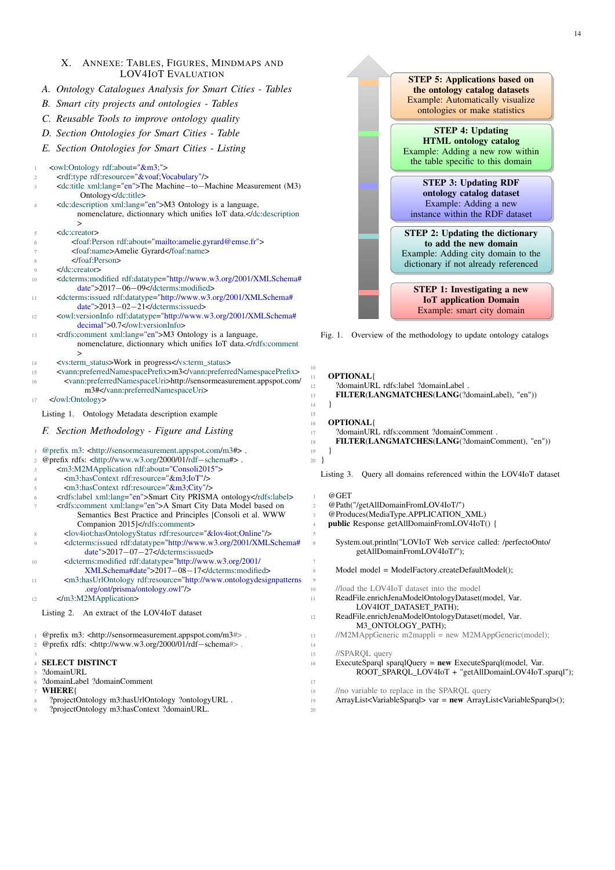### <span id="page-14-0"></span>X. ANNEXE: TABLES, FIGURES, MINDMAPS AND LOV4IOT EVALUATION

- *A. Ontology Catalogues Analysis for Smart Cities Tables*
- *B. Smart city projects and ontologies Tables*
- *C. Reusable Tools to improve ontology quality*
- *D. Section Ontologies for Smart Cities Table*
- <span id="page-14-1"></span>*E. Section Ontologies for Smart Cities - Listing*

```
1 <owl:Ontology rdf:about="&m3;">
      2 <rdf:type rdf:resource="&voaf;Vocabulary"/>
      3 <dc:title xml:lang="en">The Machine−to−Machine Measurement (M3)
             Ontology</dc:title>
      4 <dc:description xml:lang="en">M3 Ontology is a language,
            nomenclature, dictionnary which unifies IoT data.</dc:description
            >
      5 <dc:creator>
          6 <foaf:Person rdf:about="mailto:amelie.gyrard@emse.fr">
          7 <foaf:name>Amelie Gyrard</foaf:name>
          8 </foaf:Person>
      9 </dc:creator>
10 <dcterms:modified rdf:datatype="http://www.w3.org/2001/XMLSchema#
            date">2017−06−09</dcterms:modified>
11 <dcterms:issued rdf:datatype="http://www.w3.org/2001/XMLSchema#
            date">2013−02−21</dcterms:issued>
12 <owl:versionInfo rdf:datatype="http://www.w3.org/2001/XMLSchema#
            decimal">0.7</owl:versionInfo>
13 <rdfs:comment xml:lang="en">M3 Ontology is a language,
            nomenclature, dictionnary which unifies IoT data.</rdfs:comment
            >
14 <vs:term_status>Work in progress</vs:term_status>
15 <vann:preferredNamespacePrefix>m3</vann:preferredNamespacePrefix>
16 <vann:preferredNamespaceUri>http://sensormeasurement.appspot.com/
              m3#</vann:preferredNamespaceUri>
17 </owl:Ontology>
  Listing 1. Ontology Metadata description example
  F. Section Methodology - Figure and Listing
  1 @prefix m3: <http://sensormeasurement.appspot.com/m3#> .
  2 @prefix rdfs: <http://www.w3.org/2000/01/rdf−schema#> .
       3 <m3:M2MApplication rdf:about="Consoli2015">
         4 <m3:hasContext rdf:resource="&m3;IoT"/>
         5 <m3:hasContext rdf:resource="&m3;City"/>
      6 <rdfs:label xml:lang="en">Smart City PRISMA ontology</rdfs:label>
      7 <rdfs:comment xml:lang="en">A Smart City Data Model based on
            Semantics Best Practice and Principles [Consoli et al. WWW
            Companion 2015]</rdfs:comment>
         8 <lov4iot:hasOntologyStatus rdf:resource="&lov4iot;Online"/>
         9 <dcterms:issued rdf:datatype="http://www.w3.org/2001/XMLSchema#
              date">2017−07−27</dcterms:issued>
10 <dcterms:modified rdf:datatype="http://www.w3.org/2001/
              XMLSchema#date">2017−08−17</dcterms:modified>
11 <m3:hasUrlOntology rdf:resource="http://www.ontologydesignpatterns
              .org/ont/prisma/ontology.owl"/>
12 </m3:M2MApplication>
  Listing 2. An extract of the LOV4IoT dataset
  1 @prefix m3: <http://sensormeasurement.appspot.com/m3#> .
  2 @prefix rdfs: <http://www.w3.org/2000/01/rdf−schema#> .
 3
  SELECT DISTINCT
  ?domainURL
  ?domainLabel ?domainComment
  WHERE{
                                                                           14 }
                                                                           15
                                                                           19 }
                                                                           20 }
                                                                            1 @GET
                                                                            5
                                                                            7
                                                                            9
                                                                           14
                                                                           17
```
<span id="page-14-5"></span><span id="page-14-3"></span>

<sup>9</sup> ?projectOntology m3:hasContext ?domainURL.



<span id="page-14-2"></span>Fig. 1. Overview of the methodology to update ontology catalogs

<span id="page-14-4"></span>

| 10             |                                                                                                                                                                                                                                                                                                                                               |
|----------------|-----------------------------------------------------------------------------------------------------------------------------------------------------------------------------------------------------------------------------------------------------------------------------------------------------------------------------------------------|
| 11             | <b>OPTIONAL</b>                                                                                                                                                                                                                                                                                                                               |
| 12             | ?domainURL rdfs:label ?domainLabel .                                                                                                                                                                                                                                                                                                          |
| 13             | FILTER(LANGMATCHES(LANG(?domainLabel), "en"))                                                                                                                                                                                                                                                                                                 |
| 14             | ł                                                                                                                                                                                                                                                                                                                                             |
| 15             |                                                                                                                                                                                                                                                                                                                                               |
| 16             | <b>OPTIONAL{</b>                                                                                                                                                                                                                                                                                                                              |
| 17             | ?domainURL rdfs:comment ?domainComment.                                                                                                                                                                                                                                                                                                       |
| 18             | FILTER(LANGMATCHES(LANG(?domainComment), "en"))                                                                                                                                                                                                                                                                                               |
| 19             | ł                                                                                                                                                                                                                                                                                                                                             |
| 20             | ł                                                                                                                                                                                                                                                                                                                                             |
|                | Listing 3. Query all domains referenced within the LOV4IoT dataset                                                                                                                                                                                                                                                                            |
| $\mathbf{1}$   | @GET                                                                                                                                                                                                                                                                                                                                          |
| $\overline{c}$ | @Path("/getAllDomainFromLOV4IoT/")                                                                                                                                                                                                                                                                                                            |
| 3              | @Produces(MediaType.APPLICATION XML)                                                                                                                                                                                                                                                                                                          |
| 4              | <b>public</b> Response getAllDomainFromLOV4IoT() {                                                                                                                                                                                                                                                                                            |
| 5              |                                                                                                                                                                                                                                                                                                                                               |
| 6              | System.out.println("LOVIoT Web service called: /perfectoOnto/                                                                                                                                                                                                                                                                                 |
|                | getAllDomainFromLOV4IoT/");                                                                                                                                                                                                                                                                                                                   |
| 7              |                                                                                                                                                                                                                                                                                                                                               |
| 8              | Model model = ModelFactory.createDefaultModel();                                                                                                                                                                                                                                                                                              |
| 9              | //load the LOV4IoT dataset into the model                                                                                                                                                                                                                                                                                                     |
| 10             | ReadFile.enrichJenaModelOntologyDataset(model, Var.                                                                                                                                                                                                                                                                                           |
| 11             | LOV4IOT DATASET PATH);                                                                                                                                                                                                                                                                                                                        |
| 12             | ReadFile.enrichJenaModelOntologyDataset(model, Var.                                                                                                                                                                                                                                                                                           |
|                | M3_ONTOLOGY_PATH);                                                                                                                                                                                                                                                                                                                            |
| 13             | $1/M2M$ AppGeneric m2mappli = new M2MAppGeneric(model);                                                                                                                                                                                                                                                                                       |
| 14             |                                                                                                                                                                                                                                                                                                                                               |
| 15             | //SPAROL query                                                                                                                                                                                                                                                                                                                                |
| 16             | ExecuteSparql sparqlQuery = $new$ ExecuteSparql(model, Var.<br>ROOT_SPARQL_LOV4IoT + "getAllDomainLOV4IoT.sparql");                                                                                                                                                                                                                           |
| 17             |                                                                                                                                                                                                                                                                                                                                               |
| 18             | //no variable to replace in the SPARQL query                                                                                                                                                                                                                                                                                                  |
|                | $\lambda$ $\mathbf{r}^T + \lambda \mathbf{r}^T + \mathbf{r} + \mathbf{r}$ $\mathbf{r}$ $\mathbf{r}$ $\mathbf{r}$ $\mathbf{r}$ $\mathbf{r}$ $\mathbf{r}$ $\mathbf{r}$ $\mathbf{r}$ $\mathbf{r}$ $\mathbf{r}$ $\mathbf{r}$ $\mathbf{r}$ $\mathbf{r}$ $\mathbf{r}$ $\mathbf{r}$ $\mathbf{r}$ $\mathbf{r}$ $\mathbf{r}$ $\mathbf{r}$ $\mathbf{r}$ |

ArrayList<VariableSparql> var = new ArrayList<VariableSparql>();

20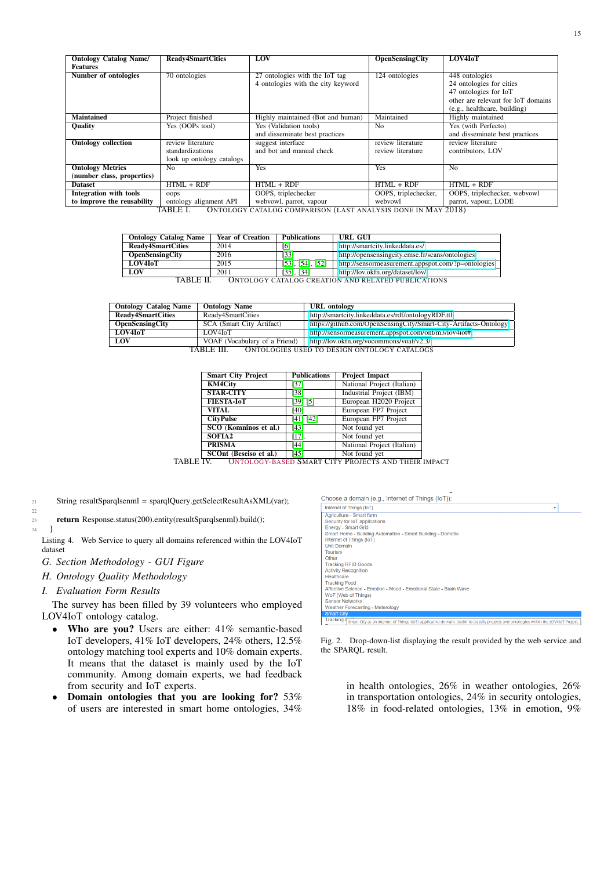| <b>Ontology Catalog Name/</b>                                                   | Ready4SmartCities         | LOV                                | <b>OpenSensingCity</b> | LOV4IoT                            |
|---------------------------------------------------------------------------------|---------------------------|------------------------------------|------------------------|------------------------------------|
| <b>Features</b>                                                                 |                           |                                    |                        |                                    |
| <b>Number of ontologies</b>                                                     | 70 ontologies             | ontologies with the IoT tag<br>27  | 124 ontologies         | 448 ontologies                     |
|                                                                                 |                           | 4 ontologies with the city keyword |                        | 24 ontologies for cities           |
|                                                                                 |                           |                                    |                        | 47 ontologies for IoT              |
|                                                                                 |                           |                                    |                        | other are relevant for IoT domains |
|                                                                                 |                           |                                    |                        | (e.g., healthcare, building)       |
| <b>Maintained</b>                                                               | Project finished          | Highly maintained (Bot and human)  | Maintained             | Highly maintained                  |
| <b>Quality</b>                                                                  | Yes (OOPs tool)           | Yes (Validation tools)             | N <sub>0</sub>         | Yes (with Perfecto)                |
|                                                                                 |                           | and disseminate best practices     |                        | and disseminate best practices     |
| <b>Ontology</b> collection                                                      | review literature         | suggest interface                  | review literature      | review literature                  |
|                                                                                 | standardizations          | and bot and manual check           | review literature      | contributors, LOV                  |
|                                                                                 | look up ontology catalogs |                                    |                        |                                    |
| <b>Ontology Metrics</b>                                                         | N <sub>0</sub>            | Yes                                | <b>Yes</b>             | $\overline{N_0}$                   |
| (number class, properties)                                                      |                           |                                    |                        |                                    |
| <b>Dataset</b>                                                                  | $HTML + RDF$              | $HTML + RDF$                       | $HTML + RDF$           | $HTML + RDF$                       |
| <b>Integration with tools</b>                                                   | oops                      | OOPS, triplechecker                | OOPS, triplechecker,   | OOPS, triplechecker, webvowl       |
| to improve the reusability                                                      | ontology alignment API    | webvowl, parrot, vapour            | webvowl                | parrot, vapour, LODE               |
| <b>ONTOLOGY CATALOG COMPARISON (LAST ANALYSIS DONE IN MAY 2018)</b><br>TABLE I. |                           |                                    |                        |                                    |

<span id="page-15-0"></span>

| <b>Ontology Catalog Name</b>                                           | <b>Year of Creation</b> | <b>Publications</b>      | URL GUI                                            |
|------------------------------------------------------------------------|-------------------------|--------------------------|----------------------------------------------------|
| <b>Ready4SmartCities</b>                                               | 2014                    | [6]                      | http://smartcity.linkeddata.es/                    |
| <b>OpenSensingCity</b>                                                 | 2016                    | [33]                     | http://opensensingcity.emse.fr/scans/ontologies    |
| LOV4IoT                                                                | 2015                    | $[53]$ , $[54]$ , $[52]$ | http://sensormeasurement.appspot.com/?p=ontologies |
| LOV                                                                    | 2011                    | $[35]$ , $[34]$          | http://lov.okfn.org/dataset/lov/                   |
| TARI E II<br><b>ONTOLOGY CATALOG CREATION AND RELATED PUBLICATIONS</b> |                         |                          |                                                    |

| <b>Ontology Catalog Name</b>                              | <b>Ontology Name</b>          | <b>URL</b> ontology                                              |
|-----------------------------------------------------------|-------------------------------|------------------------------------------------------------------|
| <b>Ready4SmartCities</b>                                  | Ready4SmartCities             | http://smartcity.linkeddata.es/rdf/ontologyRDF.ttl               |
| <b>OpenSensingCity</b>                                    | SCA (Smart City Artifact)     | https://github.com/OpenSensingCity/Smart-City-Artifacts-Ontology |
| LOV4IoT                                                   | LOV4IoT                       | http://sensormeasurement.appspot.com/ont/m3/lov4iot#             |
| LOV                                                       | VOAF (Vocabulary of a Friend) | http://lov.okfn.org/vocommons/voaf/v2.3/                         |
| TABLE III.<br>ONTOLOGIES USED TO DESIGN ONTOLOGY CATALOGS |                               |                                                                  |

<span id="page-15-2"></span><span id="page-15-1"></span>

| <b>Smart City Project</b> | <b>Publications</b> | <b>Project Impact</b>      |
|---------------------------|---------------------|----------------------------|
| <b>KM4City</b>            | [37]                | National Project (Italian) |
| <b>STAR-CITY</b>          | [38]                | Industrial Project (IBM)   |
| <b>FIESTA-IoT</b>         | $[39]$ $[5]$        | European H2020 Project     |
| VITAL.                    | [40]                | European FP7 Project       |
| <b>CityPulse</b>          | [41] [42]           | European FP7 Project       |
| SCO (Komninos et al.)     | [43]                | Not found yet              |
| <b>SOFIA2</b>             | $[17]$ .            | Not found yet              |
| <b>PRISMA</b>             | [44]                | National Project (Italian) |
| SCOnt (Beseiso et al.)    | [45]                | Not found yet              |

| **SCOnt (Beseiso et al.)** | [\[45\]](#page-13-17) Not found yet NORD THEIR IMPACT TABLE IV. CONTOLOGY-BASED SMART CITY PROJECTS AND THEIR IMPACT

21 String resultSparqlsenml = sparqlQuery.getSelectResultAsXML(var);

<sup>23</sup> return Response.status(200).entity(resultSparqlsenml).build();

22 <sup>24</sup> }

> Listing 4. Web Service to query all domains referenced within the LOV4IoT dataset

- *G. Section Methodology GUI Figure*
- *H. Ontology Quality Methodology*
- *I. Evaluation Form Results*

The survey has been filled by 39 volunteers who employed LOV4IoT ontology catalog.

- Who are you? Users are either: 41% semantic-based IoT developers, 41% IoT developers, 24% others, 12.5% ontology matching tool experts and 10% domain experts. It means that the dataset is mainly used by the IoT community. Among domain experts, we had feedback from security and IoT experts.
- Domain ontologies that you are looking for? 53% of users are interested in smart home ontologies, 34%

Choose a domain (e.g., Internet of Things (IoT)):

| Internet of Things (IoT)                                          | ۰ |  |
|-------------------------------------------------------------------|---|--|
| Agriculture - Smart farm                                          |   |  |
| Security for IoT applications                                     |   |  |
| Energy - Smart Grid                                               |   |  |
| Smart Home - Building Automation - Smart Building - Domotic       |   |  |
| Internet of Things (IoT)                                          |   |  |
| <b>Unit Domain</b>                                                |   |  |
| <b>Tourism</b>                                                    |   |  |
| Other                                                             |   |  |
| <b>Tracking RFID Goods</b>                                        |   |  |
| <b>Activity Recognition</b>                                       |   |  |
| Healthcare                                                        |   |  |
| <b>Tracking Food</b>                                              |   |  |
| Affective Science - Emotion - Mood - Emotional State - Brain Wave |   |  |
| WoT (Web of Things)                                               |   |  |
| <b>Sensor Networks</b>                                            |   |  |
| Weather Forecasting - Meterology                                  |   |  |
| <b>Smart City</b>                                                 |   |  |

Tracking Tsmart City as an Internet of Things (IoT) applicative domain. Useful to classify projects and ontologies within the LOV4IoT Project.

<span id="page-15-3"></span>Fig. 2. Drop-down-list displaying the result provided by the web service and the SPARQL result.

in health ontologies, 26% in weather ontologies, 26% in transportation ontologies, 24% in security ontologies, 18% in food-related ontologies, 13% in emotion, 9%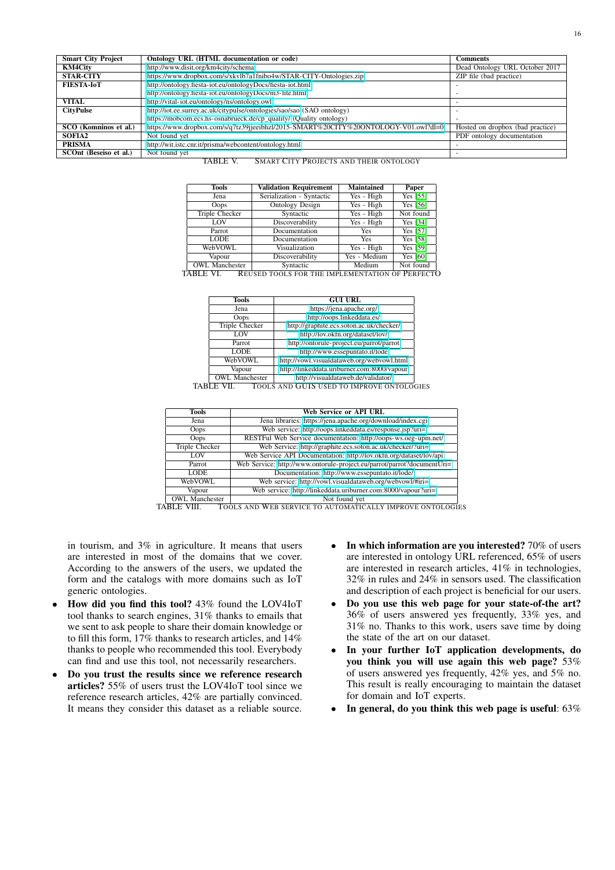| <b>Smart City Project</b> | Ontology URL (HTML documentation or code)                                              | <b>Comments</b>                  |
|---------------------------|----------------------------------------------------------------------------------------|----------------------------------|
| <b>KM4City</b>            | http://www.disit.org/km4city/schema                                                    | Dead Ontology URL October 2017   |
| <b>STAR-CITY</b>          | https://www.dropbox.com/s/xkvlb7a1fnibo4w/STAR-CITY-Ontologies.zip                     | ZIP file (bad practice)          |
| <b>FIESTA-IoT</b>         | http://ontology.fiesta-iot.eu/ontologyDocs/fiesta-iot.html                             |                                  |
|                           | http://ontology.fiesta-iot.eu/ontologyDocs/m3-lite.html                                |                                  |
| <b>VITAL</b>              | http://vital-iot.eu/ontology/ns/ontology.owl                                           |                                  |
| <b>CityPulse</b>          | http://iot.ee.surrey.ac.uk/citypulse/ontologies/sao/sao (SAO ontology)                 |                                  |
|                           | https://mobcom.ecs.hs-osnabrueck.de/cp_quality/ (Quality ontology)                     | $\overline{\phantom{a}}$         |
| SCO (Komninos et al.)     | https://www.dropbox.com/s/q7tz39jjeeibhzl/2015-SMART%20CITY%20ONTOLOGY-V01.owl?dl=0    | Hosted on dropbox (bad practice) |
| <b>SOFIA2</b>             | Not found yet                                                                          | PDF ontology documentation       |
| <b>PRISMA</b>             | http://wit.istc.cnr.it/prisma/webcontent/ontology.html                                 |                                  |
| SCOnt (Beseiso et al.)    | Not found yet<br>$\overline{}$ $\overline{}$ $\overline{}$ $\overline{}$ $\overline{}$ |                                  |

<span id="page-16-0"></span>TABLE V. SMART CITY PROJECTS AND THEIR ONTOLOGY

| <b>Tools</b>                                  | <b>Validation Requirement</b> | <b>Maintained</b> | Paper      |
|-----------------------------------------------|-------------------------------|-------------------|------------|
| Jena                                          | Serialization - Syntactic     | Yes - High        | Yes [55]   |
| <b>Oops</b>                                   | <b>Ontology Design</b>        | Yes - High        | Yes [56]   |
| <b>Triple Checker</b>                         | Syntactic                     | Yes - High        | Not found  |
| LOV                                           | Discoverability               | Yes - High        | Yes [34]   |
| Parrot                                        | Documentation                 | Yes.              | Yes [57]   |
| LODE.                                         | Documentation                 | Yes               | Yes $[58]$ |
| WebVOWL                                       | Visualization                 | Yes - High        | Yes [59]   |
| Vapour                                        | Discoverability               | Yes - Medium      | Yes $[60]$ |
| <b>OWL</b> Manchester<br>r <del>adir vi</del> | Syntactic                     | Medium            | Not found  |

TABLE VI. REUSED TOOLS FOR THE IMPLEMENTATION OF PERFECTO

<span id="page-16-1"></span>

| Tools                 | <b>GUI URL</b>                              |
|-----------------------|---------------------------------------------|
| Jena                  | https://jena.apache.org/                    |
| Oops                  | http://oops.linkeddata.es/                  |
| <b>Triple Checker</b> | http://graphite.ecs.soton.ac.uk/checker/    |
| LOV                   | http://lov.okfn.org/dataset/lov/            |
| Parrot                | http://ontorule-project.eu/parrot/parrot    |
| <b>LODE</b>           | http://www.essepuntato.it/lode              |
| WebVOWL               | http://vowl.visualdataweb.org/webvowl.html  |
| Vapour                | http://linkeddata.uriburner.com:8000/vapour |
| <b>OWL</b> Manchester | http://visualdataweb.de/validator/          |

<span id="page-16-2"></span>TABLE VII. TOOLS AND GUIS USED TO IMPROVE ONTOLOGIES

| Tools            | Web Service or API URL                                                 |
|------------------|------------------------------------------------------------------------|
| Jena             | Jena libraries: https://jena.apache.org/download/index.cgi             |
| <b>Oops</b>      | Web service: http://oops.linkeddata.es/response.jsp?uri=               |
| <b>Oops</b>      | RESTFul Web Service documentation: http://oops-ws.oeg-upm.net/         |
| Triple Checker   | Web Service: http://graphite.ecs.soton.ac.uk/checker/?uri=             |
| LOV              | Web Service API Documentation: http://lov.okfn.org/dataset/lov/api     |
| Parrot           | Web Service: http://www.ontorule-project.eu/parrot/parrot?documentUri= |
| <b>LODE</b>      | Documentation: http://www.essepuntato.it/lode/                         |
| WebVOWL          | Web service: http://vowl.visualdataweb.org/webvowl/#iri=               |
| Vapour           | Web service: http://linkeddata.uriburner.com:8000/vapour?uri=          |
| $OMI$ Monohooton | Mat fannad voor                                                        |

<span id="page-16-3"></span>Not found yet<br>
TABLE VIII. TOOLS AND WEB SERVICE TO AUTOMATICALLY IMPROVE ONTOLOGIES

in tourism, and 3% in agriculture. It means that users are interested in most of the domains that we cover. According to the answers of the users, we updated the form and the catalogs with more domains such as IoT generic ontologies.

- How did you find this tool? 43% found the LOV4IoT tool thanks to search engines, 31% thanks to emails that we sent to ask people to share their domain knowledge or to fill this form, 17% thanks to research articles, and 14% thanks to people who recommended this tool. Everybody can find and use this tool, not necessarily researchers.
- Do you trust the results since we reference research articles? 55% of users trust the LOV4IoT tool since we reference research articles, 42% are partially convinced. It means they consider this dataset as a reliable source.
- In which information are you interested? 70% of users are interested in ontology URL referenced, 65% of users are interested in research articles, 41% in technologies, 32% in rules and 24% in sensors used. The classification and description of each project is beneficial for our users.
- Do you use this web page for your state-of-the art? 36% of users answered yes frequently, 33% yes, and 31% no. Thanks to this work, users save time by doing the state of the art on our dataset.
- In your further IoT application developments, do you think you will use again this web page? 53% of users answered yes frequently, 42% yes, and 5% no. This result is really encouraging to maintain the dataset for domain and IoT experts.
- In general, do you think this web page is useful:  $63\%$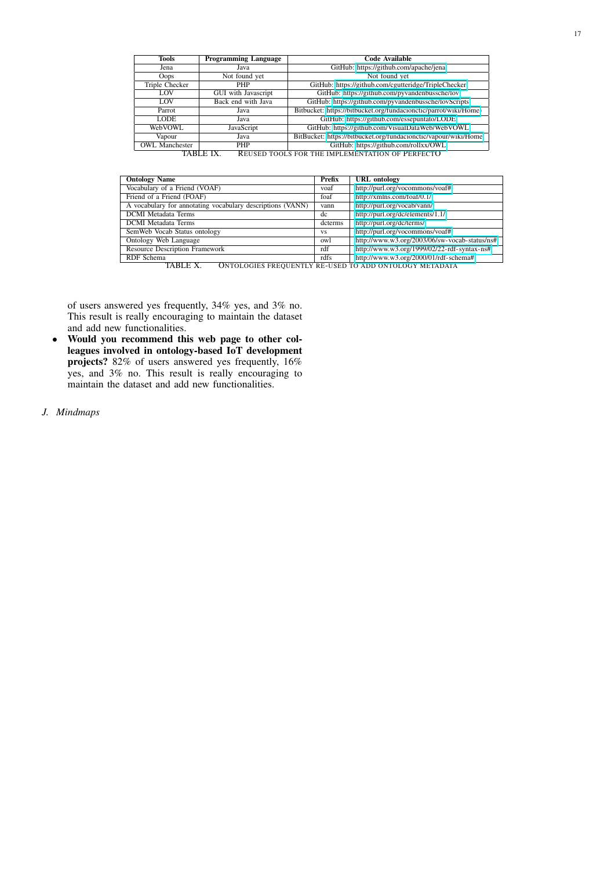| <b>Tools</b>                                                              | <b>Programming Language</b> | <b>Code Available</b>                                            |  |
|---------------------------------------------------------------------------|-----------------------------|------------------------------------------------------------------|--|
| Jena                                                                      | Java                        | GitHub: https://github.com/apache/jena                           |  |
| <b>Oops</b>                                                               | Not found yet               | Not found yet                                                    |  |
| Triple Checker                                                            | <b>PHP</b>                  | GitHub: https://github.com/cgutteridge/TripleChecker             |  |
| LOV                                                                       | <b>GUI</b> with Javascript  | GitHub: https://github.com/pyvandenbussche/lov                   |  |
| LOV                                                                       | Back end with Java          | GitHub: https://github.com/pyvandenbussche/lovScripts            |  |
| Parrot                                                                    | Java                        | Bitbucket: https://bitbucket.org/fundacionctic/parrot/wiki/Home) |  |
| <b>LODE</b>                                                               | Java                        | GitHub: https://github.com/essepuntato/LODE                      |  |
| WebVOWL                                                                   | JavaScript                  | GitHub: https://github.com/VisualDataWeb/WebVOWL                 |  |
| Vapour                                                                    | Java                        | BitBucket: https://bitbucket.org/fundacionctic/vapour/wiki/Home  |  |
| <b>OWL</b> Manchester                                                     | <b>PHP</b>                  | GitHub: https://github.com/rollxx/OWL                            |  |
| <b>REUSED TOOLS FOR THE IMPLEMENTATION OF PERFECTO</b><br><b>TABLE IX</b> |                             |                                                                  |  |

<span id="page-17-1"></span>

| <b>Ontology Name</b>                                       | Prefix    | <b>URL</b> ontology                           |
|------------------------------------------------------------|-----------|-----------------------------------------------|
| Vocabulary of a Friend (VOAF)                              | voaf      | http://purl.org/vocommons/voaf#               |
| Friend of a Friend (FOAF)                                  | foaf      | http://xmlns.com/foaf/0.1/                    |
| A vocabulary for annotating vocabulary descriptions (VANN) | vann      | http://purl.org/vocab/vann/                   |
| <b>DCMI</b> Metadata Terms                                 | dc        | http://purl.org/dc/elements/1.1/              |
| <b>DCMI</b> Metadata Terms                                 | dcterms   | http://purl.org/dc/terms/                     |
| SemWeb Vocab Status ontology                               | <b>VS</b> | http://purl.org/vocommons/voaf#               |
| Ontology Web Language                                      | owl       | http://www.w3.org/2003/06/sw-vocab-status/ns# |
| Resource Description Framework                             | rdf       | http://www.w3.org/1999/02/22-rdf-syntax-ns#   |
| RDF Schema                                                 | rdfs      | http://www.w3.org/2000/01/rdf-schema#         |

<span id="page-17-0"></span>RDF Schema rdfs <http://www.w3.org/2000/01/rdf-schema#><br>TABLE X. ONTOLOGIES FREQUENTLY RE-USED TO ADD ONTOLOGY METADATA

of users answered yes frequently, 34% yes, and 3% no. This result is really encouraging to maintain the dataset and add new functionalities.

- Would you recommend this web page to other colleagues involved in ontology-based IoT development projects? 82% of users answered yes frequently, 16% yes, and 3% no. This result is really encouraging to maintain the dataset and add new functionalities.
- *J. Mindmaps*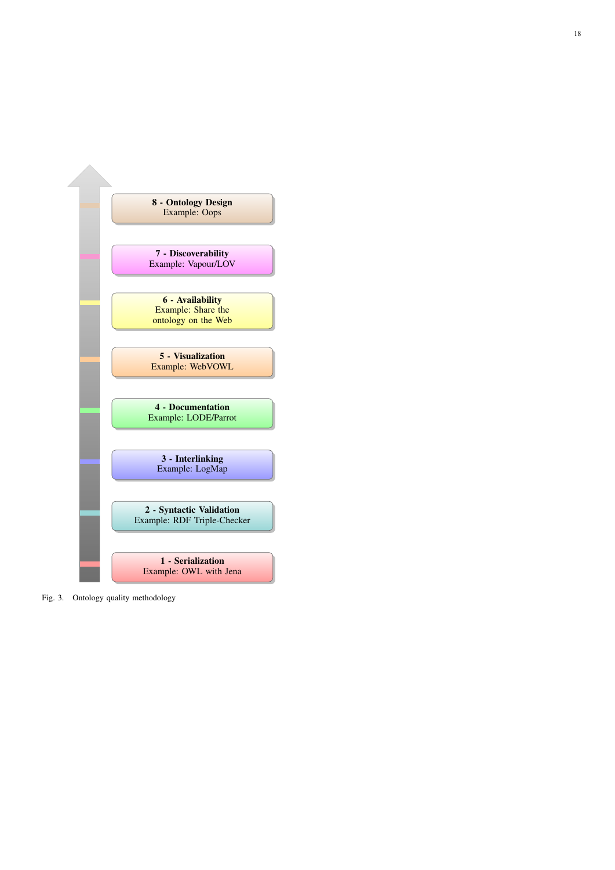

<span id="page-18-0"></span>Fig. 3. Ontology quality methodology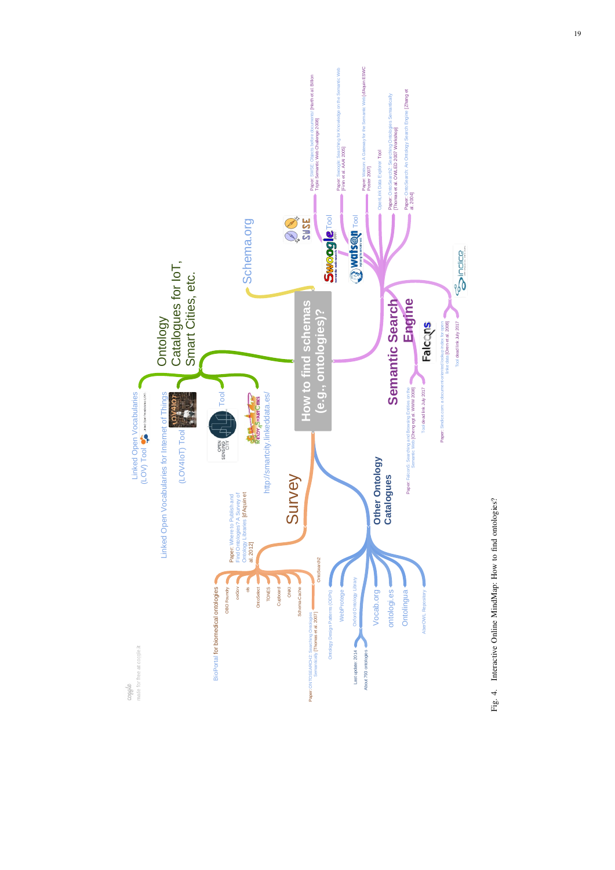<span id="page-19-0"></span>

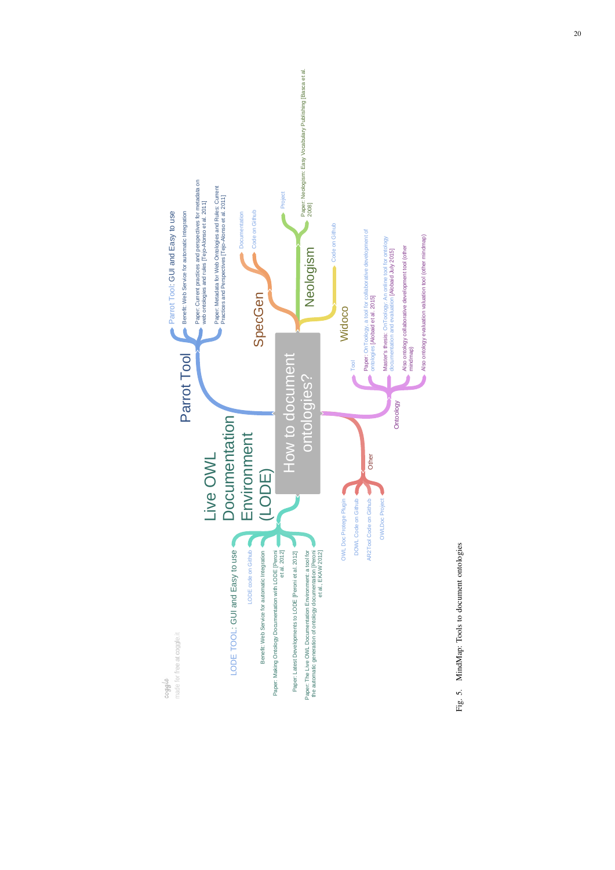<span id="page-20-0"></span>

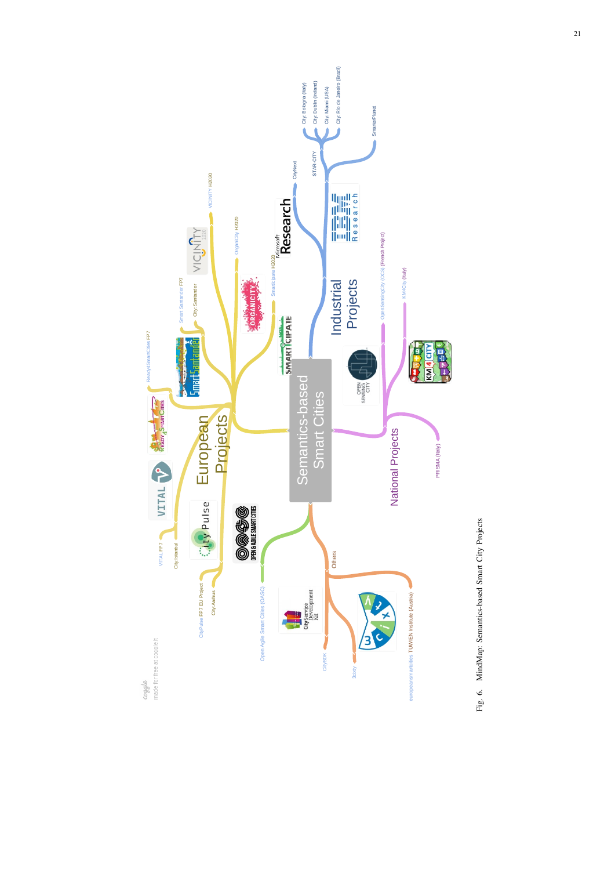<span id="page-21-0"></span>